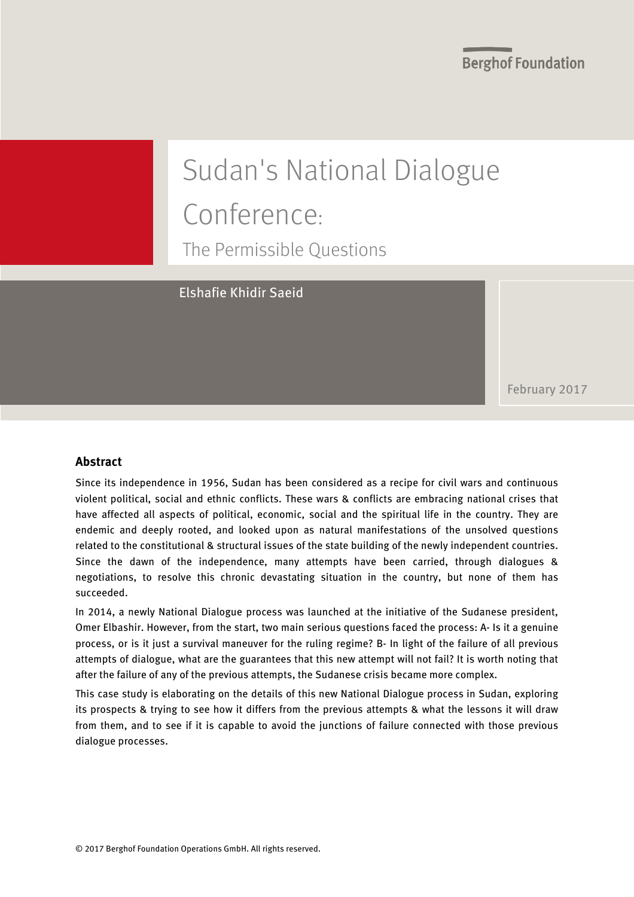# Sudan's National Dialogue Conference: The Permissible Questions

Elshafie Khidir Saeid

February 2017

#### **Abstract**

Since its independence in 1956, Sudan has been considered as a recipe for civil wars and continuous violent political, social and ethnic conflicts. These wars & conflicts are embracing national crises that have affected all aspects of political, economic, social and the spiritual life in the country. They are endemic and deeply rooted, and looked upon as natural manifestations of the unsolved questions related to the constitutional & structural issues of the state building of the newly independent countries. Since the dawn of the independence, many attempts have been carried, through dialogues & negotiations, to resolve this chronic devastating situation in the country, but none of them has succeeded.

In 2014, a newly National Dialogue process was launched at the initiative of the Sudanese president, Omer Elbashir. However, from the start, two main serious questions faced the process: A- Is it a genuine process, or is it just a survival maneuver for the ruling regime? B- In light of the failure of all previous attempts of dialogue, what are the guarantees that this new attempt will not fail? It is worth noting that after the failure of any of the previous attempts, the Sudanese crisis became more complex.

This case study is elaborating on the details of this new National Dialogue process in Sudan, exploring its prospects & trying to see how it differs from the previous attempts & what the lessons it will draw from them, and to see if it is capable to avoid the junctions of failure connected with those previous dialogue processes.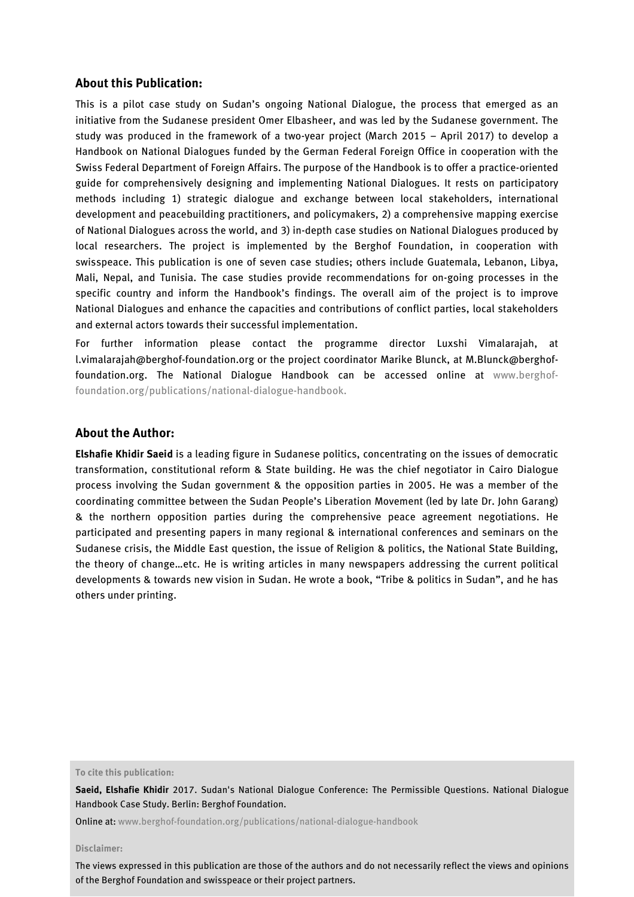#### **About this Publication:**

This is a pilot case study on Sudan's ongoing National Dialogue, the process that emerged as an initiative from the Sudanese president Omer Elbasheer, and was led by the Sudanese government. The study was produced in the framework of a two-year project (March 2015 – April 2017) to develop a Handbook on National Dialogues funded by the German Federal Foreign Office in cooperation with the Swiss Federal Department of Foreign Affairs. The purpose of the Handbook is to offer a practice-oriented guide for comprehensively designing and implementing National Dialogues. It rests on participatory methods including 1) strategic dialogue and exchange between local stakeholders, international development and peacebuilding practitioners, and policymakers, 2) a comprehensive mapping exercise of National Dialogues across the world, and 3) in-depth case studies on National Dialogues produced by local researchers. The project is implemented by the Berghof Foundation, in cooperation with swisspeace. This publication is one of seven case studies; others include Guatemala, Lebanon, Libya, Mali, Nepal, and Tunisia. The case studies provide recommendations for on-going processes in the specific country and inform the Handbook's findings. The overall aim of the project is to improve National Dialogues and enhance the capacities and contributions of conflict parties, local stakeholders and external actors towards their successful implementation.

For further information please contact the programme director Luxshi Vimalarajah, at l.vimalarajah@berghof-foundation.org or the project coordinator Marike Blunck, at [M.Blunck@berghof](mailto:M.Blunck@berghof-foundation.org)[foundation.org.](mailto:M.Blunck@berghof-foundation.org) The National Dialogue Handbook can be accessed online at www.berghoffoundation.org/publications/national-dialogue-handbook.

#### **About the Author:**

**Elshafie Khidir Saeid** is a leading figure in Sudanese politics, concentrating on the issues of democratic transformation, constitutional reform & State building. He was the chief negotiator in Cairo Dialogue process involving the Sudan government & the opposition parties in 2005. He was a member of the coordinating committee between the Sudan People's Liberation Movement (led by late Dr. John Garang) & the northern opposition parties during the comprehensive peace agreement negotiations. He participated and presenting papers in many regional & international conferences and seminars on the Sudanese crisis, the Middle East question, the issue of Religion & politics, the National State Building, the theory of change…etc. He is writing articles in many newspapers addressing the current political developments & towards new vision in Sudan. He wrote a book, "Tribe & politics in Sudan", and he has others under printing.

**To cite this publication:**

**Saeid, Elshafie Khidir** 2017. Sudan's National Dialogue Conference: The Permissible Questions. National Dialogue Handbook Case Study. Berlin: Berghof Foundation.

Online at[: www.berghof-foundation.org/publications/national-dialogue-handbook](http://www.berghof-foundation.org/publications/national-dialogue-handbook)

#### **Disclaimer:**

The views expressed in this publication are those of the authors and do not necessarily reflect the views and opinions of the Berghof Foundation and swisspeace or their project partners.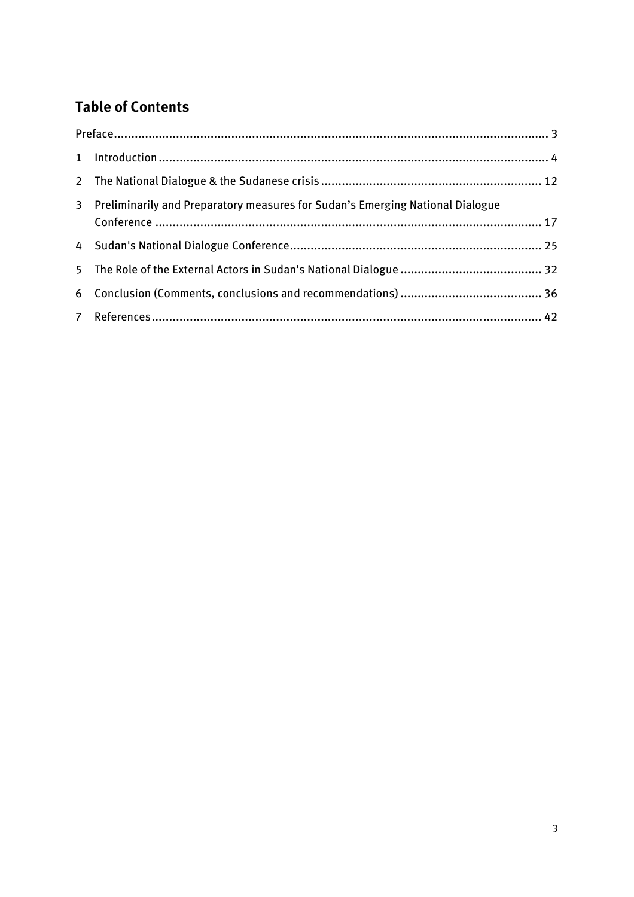# **Table of Contents**

<span id="page-2-1"></span><span id="page-2-0"></span>

|  | 3 Preliminarily and Preparatory measures for Sudan's Emerging National Dialogue |  |
|--|---------------------------------------------------------------------------------|--|
|  |                                                                                 |  |
|  |                                                                                 |  |
|  |                                                                                 |  |
|  |                                                                                 |  |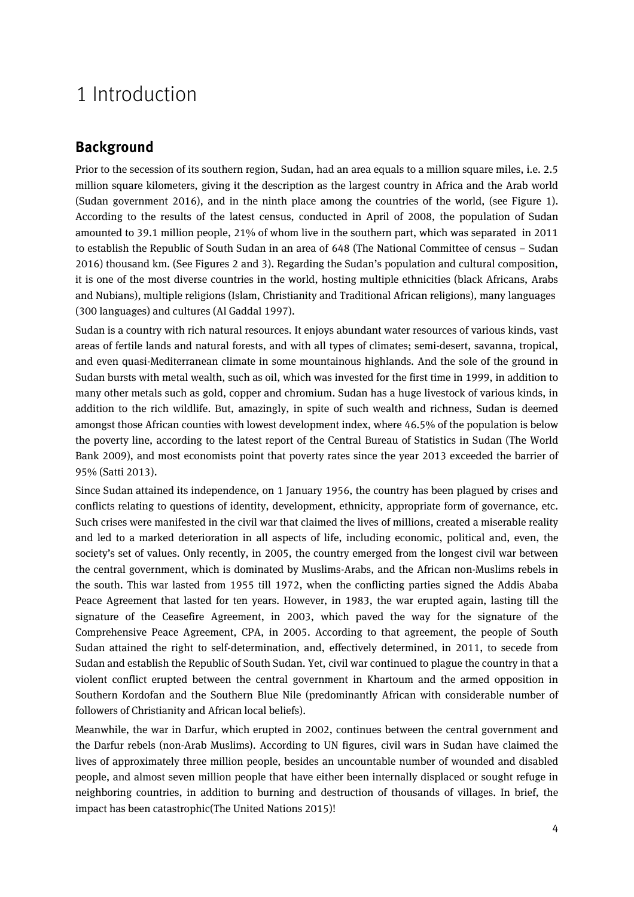# 1 Introduction

## **Background**

Prior to the secession of its southern region, Sudan, had an area equals to a million square miles, i.e. 2.5 million square kilometers, giving it the description as the largest country in Africa and the Arab world (Sudan government 2016), and in the ninth place among the countries of the world, (see Figure 1). According to the results of the latest census, conducted in April of 2008, the population of Sudan amounted to 39.1 million people, 21% of whom live in the southern part, which was separated in 2011 to establish the Republic of South Sudan in an area of 648 (The National Committee of census – Sudan 2016) thousand km. (See Figures 2 and 3). Regarding the Sudan's population and cultural composition, it is one of the most diverse countries in the world, hosting multiple ethnicities (black Africans, Arabs and Nubians), multiple religions (Islam, Christianity and Traditional African religions), many languages (300 languages) and cultures (Al Gaddal 1997).

Sudan is a country with rich natural resources. It enjoys abundant water resources of various kinds, vast areas of fertile lands and natural forests, and with all types of climates; semi-desert, savanna, tropical, and even quasi-Mediterranean climate in some mountainous highlands. And the sole of the ground in Sudan bursts with metal wealth, such as oil, which was invested for the first time in 1999, in addition to many other metals such as gold, copper and chromium. Sudan has a huge livestock of various kinds, in addition to the rich wildlife. But, amazingly, in spite of such wealth and richness, Sudan is deemed amongst those African counties with lowest development index, where 46.5% of the population is below the poverty line, according to the latest report of the Central Bureau of Statistics in Sudan (The World Bank 2009), and most economists point that poverty rates since the year 2013 exceeded the barrier of 95% (Satti 2013).

Since Sudan attained its independence, on 1 January 1956, the country has been plagued by crises and conflicts relating to questions of identity, development, ethnicity, appropriate form of governance, etc. Such crises were manifested in the civil war that claimed the lives of millions, created a miserable reality and led to a marked deterioration in all aspects of life, including economic, political and, even, the society's set of values. Only recently, in 2005, the country emerged from the longest civil war between the central government, which is dominated by Muslims-Arabs, and the African non-Muslims rebels in the south. This war lasted from 1955 till 1972, when the conflicting parties signed the Addis Ababa Peace Agreement that lasted for ten years. However, in 1983, the war erupted again, lasting till the signature of the Ceasefire Agreement, in 2003, which paved the way for the signature of the Comprehensive Peace Agreement, CPA, in 2005. According to that agreement, the people of South Sudan attained the right to self-determination, and, effectively determined, in 2011, to secede from Sudan and establish the Republic of South Sudan. Yet, civil war continued to plague the country in that a violent conflict erupted between the central government in Khartoum and the armed opposition in Southern Kordofan and the Southern Blue Nile (predominantly African with considerable number of followers of Christianity and African local beliefs).

Meanwhile, the war in Darfur, which erupted in 2002, continues between the central government and the Darfur rebels (non-Arab Muslims). According to UN figures, civil wars in Sudan have claimed the lives of approximately three million people, besides an uncountable number of wounded and disabled people, and almost seven million people that have either been internally displaced or sought refuge in neighboring countries, in addition to burning and destruction of thousands of villages. In brief, the impact has been catastrophic(The United Nations 2015)!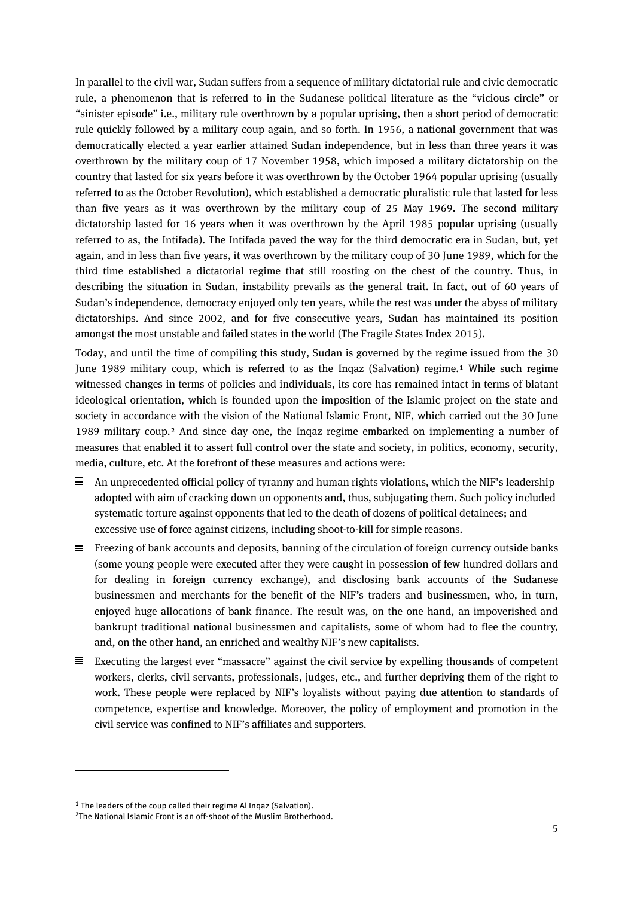In parallel to the civil war, Sudan suffers from a sequence of military dictatorial rule and civic democratic rule, a phenomenon that is referred to in the Sudanese political literature as the "vicious circle" or "sinister episode" i.e., military rule overthrown by a popular uprising, then a short period of democratic rule quickly followed by a military coup again, and so forth. In 1956, a national government that was democratically elected a year earlier attained Sudan independence, but in less than three years it was overthrown by the military coup of 17 November 1958, which imposed a military dictatorship on the country that lasted for six years before it was overthrown by the October 1964 popular uprising (usually referred to as the October Revolution), which established a democratic pluralistic rule that lasted for less than five years as it was overthrown by the military coup of 25 May 1969. The second military dictatorship lasted for 16 years when it was overthrown by the April 1985 popular uprising (usually referred to as, the Intifada). The Intifada paved the way for the third democratic era in Sudan, but, yet again, and in less than five years, it was overthrown by the military coup of 30 June 1989, which for the third time established a dictatorial regime that still roosting on the chest of the country. Thus, in describing the situation in Sudan, instability prevails as the general trait. In fact, out of 60 years of Sudan's independence, democracy enjoyed only ten years, while the rest was under the abyss of military dictatorships. And since 2002, and for five consecutive years, Sudan has maintained its position amongst the most unstable and failed states in the world (The Fragile States Index 2015).

Today, and until the time of compiling this study, Sudan is governed by the regime issued from the 30 June 1989 military coup, which is referred to as the Inqaz (Salvation) regime.**[1](#page-4-0)** While such regime witnessed changes in terms of policies and individuals, its core has remained intact in terms of blatant ideological orientation, which is founded upon the imposition of the Islamic project on the state and society in accordance with the vision of the National Islamic Front, NIF, which carried out the 30 June 1989 military coup.**[2](#page-4-1)** And since day one, the Inqaz regime embarked on implementing a number of measures that enabled it to assert full control over the state and society, in politics, economy, security, media, culture, etc. At the forefront of these measures and actions were:

- An unprecedented official policy of tyranny and human rights violations, which the NIF's leadership adopted with aim of cracking down on opponents and, thus, subjugating them. Such policy included systematic torture against opponents that led to the death of dozens of political detainees; and excessive use of force against citizens, including shoot-to-kill for simple reasons.
- $\equiv$  Freezing of bank accounts and deposits, banning of the circulation of foreign currency outside banks (some young people were executed after they were caught in possession of few hundred dollars and for dealing in foreign currency exchange), and disclosing bank accounts of the Sudanese businessmen and merchants for the benefit of the NIF's traders and businessmen, who, in turn, enjoyed huge allocations of bank finance. The result was, on the one hand, an impoverished and bankrupt traditional national businessmen and capitalists, some of whom had to flee the country, and, on the other hand, an enriched and wealthy NIF's new capitalists.
- $\equiv$  Executing the largest ever "massacre" against the civil service by expelling thousands of competent workers, clerks, civil servants, professionals, judges, etc., and further depriving them of the right to work. These people were replaced by NIF's loyalists without paying due attention to standards of competence, expertise and knowledge. Moreover, the policy of employment and promotion in the civil service was confined to NIF's affiliates and supporters.

 $\overline{a}$ 

<span id="page-4-0"></span>**<sup>1</sup>** The leaders of the coup called their regime Al Inqaz (Salvation).

<span id="page-4-1"></span>**<sup>2</sup>**The National Islamic Front is an off-shoot of the Muslim Brotherhood.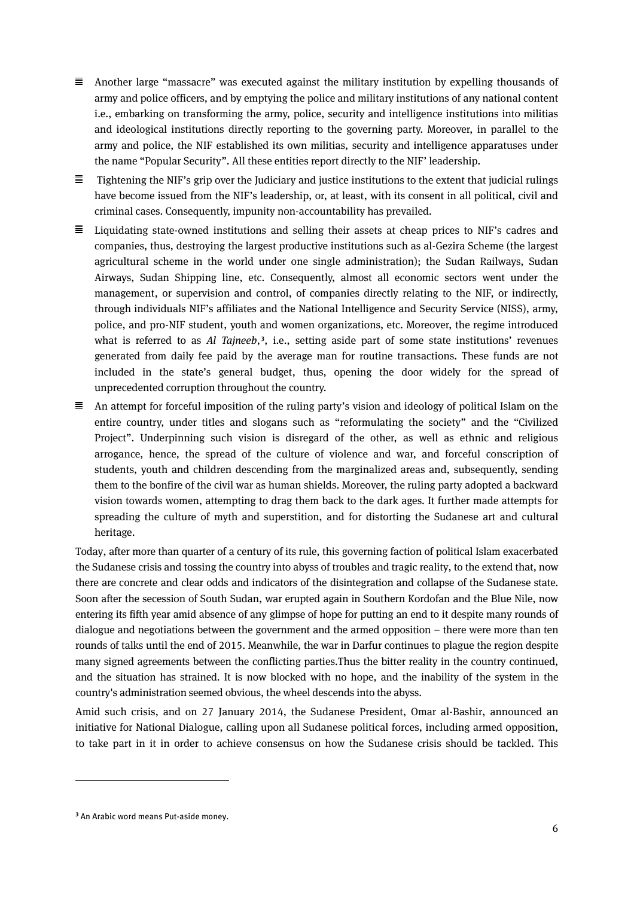$\equiv$  Another large "massacre" was executed against the military institution by expelling thousands of army and police officers, and by emptying the police and military institutions of any national content i.e., embarking on transforming the army, police, security and intelligence institutions into militias and ideological institutions directly reporting to the governing party. Moreover, in parallel to the army and police, the NIF established its own militias, security and intelligence apparatuses under the name "Popular Security". All these entities report directly to the NIF' leadership.

 $\equiv$ Tightening the NIF's grip over the Judiciary and justice institutions to the extent that judicial rulings have become issued from the NIF's leadership, or, at least, with its consent in all political, civil and criminal cases. Consequently, impunity non-accountability has prevailed.

- $\equiv$  Liquidating state-owned institutions and selling their assets at cheap prices to NIF's cadres and companies, thus, destroying the largest productive institutions such as al-Gezira Scheme (the largest agricultural scheme in the world under one single administration); the Sudan Railways, Sudan Airways, Sudan Shipping line, etc. Consequently, almost all economic sectors went under the management, or supervision and control, of companies directly relating to the NIF, or indirectly, through individuals NIF's affiliates and the National Intelligence and Security Service (NISS), army, police, and pro-NIF student, youth and women organizations, etc. Moreover, the regime introduced what is referred to as *Al Tajneeb*,<sup>[3](#page-5-0)</sup>, i.e., setting aside part of some state institutions' revenues generated from daily fee paid by the average man for routine transactions. These funds are not included in the state's general budget, thus, opening the door widely for the spread of unprecedented corruption throughout the country.
- $\equiv$  An attempt for forceful imposition of the ruling party's vision and ideology of political Islam on the entire country, under titles and slogans such as "reformulating the society" and the "Civilized Project". Underpinning such vision is disregard of the other, as well as ethnic and religious arrogance, hence, the spread of the culture of violence and war, and forceful conscription of students, youth and children descending from the marginalized areas and, subsequently, sending them to the bonfire of the civil war as human shields. Moreover, the ruling party adopted a backward vision towards women, attempting to drag them back to the dark ages. It further made attempts for spreading the culture of myth and superstition, and for distorting the Sudanese art and cultural heritage.

Today, after more than quarter of a century of its rule, this governing faction of political Islam exacerbated the Sudanese crisis and tossing the country into abyss of troubles and tragic reality, to the extend that, now there are concrete and clear odds and indicators of the disintegration and collapse of the Sudanese state. Soon after the secession of South Sudan, war erupted again in Southern Kordofan and the Blue Nile, now entering its fifth year amid absence of any glimpse of hope for putting an end to it despite many rounds of dialogue and negotiations between the government and the armed opposition – there were more than ten rounds of talks until the end of 2015. Meanwhile, the war in Darfur continues to plague the region despite many signed agreements between the conflicting parties.Thus the bitter reality in the country continued, and the situation has strained. It is now blocked with no hope, and the inability of the system in the country's administration seemed obvious, the wheel descends into the abyss.

Amid such crisis, and on 27 January 2014, the Sudanese President, Omar al-Bashir, announced an initiative for National Dialogue, calling upon all Sudanese political forces, including armed opposition, to take part in it in order to achieve consensus on how the Sudanese crisis should be tackled. This

 $\overline{a}$ 

<span id="page-5-0"></span>**<sup>3</sup>** An Arabic word means Put-aside money.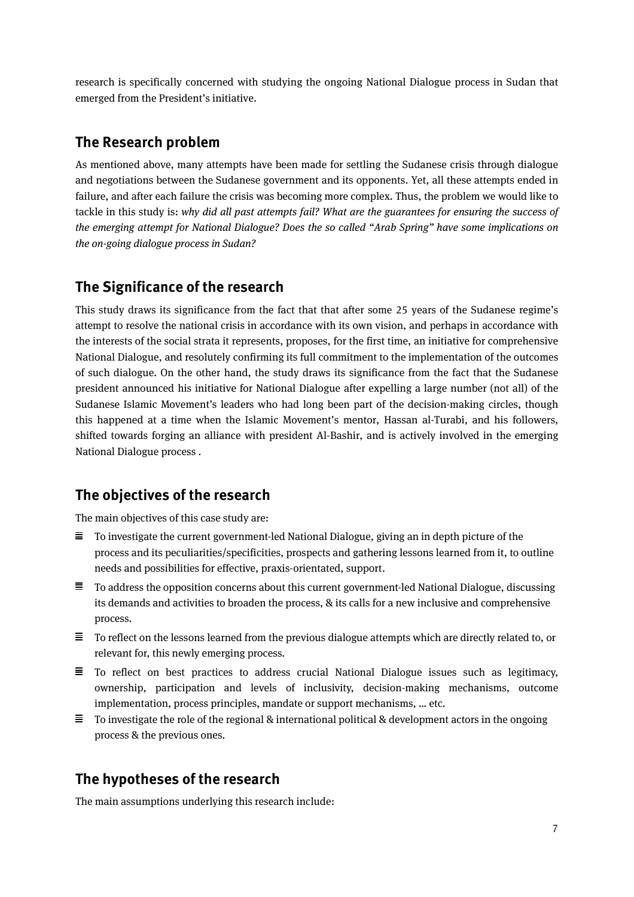research is specifically concerned with studying the ongoing National Dialogue process in Sudan that emerged from the President's initiative.

### **The Research problem**

As mentioned above, many attempts have been made for settling the Sudanese crisis through dialogue and negotiations between the Sudanese government and its opponents. Yet, all these attempts ended in failure, and after each failure the crisis was becoming more complex. Thus, the problem we would like to tackle in this study is: *why did all past attempts fail? What are the guarantees for ensuring the success of the emerging attempt for National Dialogue? Does the so called "Arab Spring" have some implications on the on-going dialogue process in Sudan?*

## **The Significance of the research**

This study draws its significance from the fact that that after some 25 years of the Sudanese regime's attempt to resolve the national crisis in accordance with its own vision, and perhaps in accordance with the interests of the social strata it represents, proposes, for the first time, an initiative for comprehensive National Dialogue, and resolutely confirming its full commitment to the implementation of the outcomes of such dialogue. On the other hand, the study draws its significance from the fact that the Sudanese president announced his initiative for National Dialogue after expelling a large number (not all) of the Sudanese Islamic Movement's leaders who had long been part of the decision-making circles, though this happened at a time when the Islamic Movement's mentor, Hassan al-Turabi, and his followers, shifted towards forging an alliance with president Al-Bashir, and is actively involved in the emerging National Dialogue process .

## **The objectives of the research**

The main objectives of this case study are:

- $\equiv$  To investigate the current government-led National Dialogue, giving an in depth picture of the process and its peculiarities/specificities, prospects and gathering lessons learned from it, to outline needs and possibilities for effective, praxis-orientated, support.
- $\equiv$  To address the opposition concerns about this current government-led National Dialogue, discussing its demands and activities to broaden the process, & its calls for a new inclusive and comprehensive process.
- $\equiv$  To reflect on the lessons learned from the previous dialogue attempts which are directly related to, or relevant for, this newly emerging process.
- $\equiv$  To reflect on best practices to address crucial National Dialogue issues such as legitimacy, ownership, participation and levels of inclusivity, decision-making mechanisms, outcome implementation, process principles, mandate or support mechanisms, … etc.
- $\equiv$  To investigate the role of the regional & international political & development actors in the ongoing process & the previous ones.

# **The hypotheses of the research**

The main assumptions underlying this research include: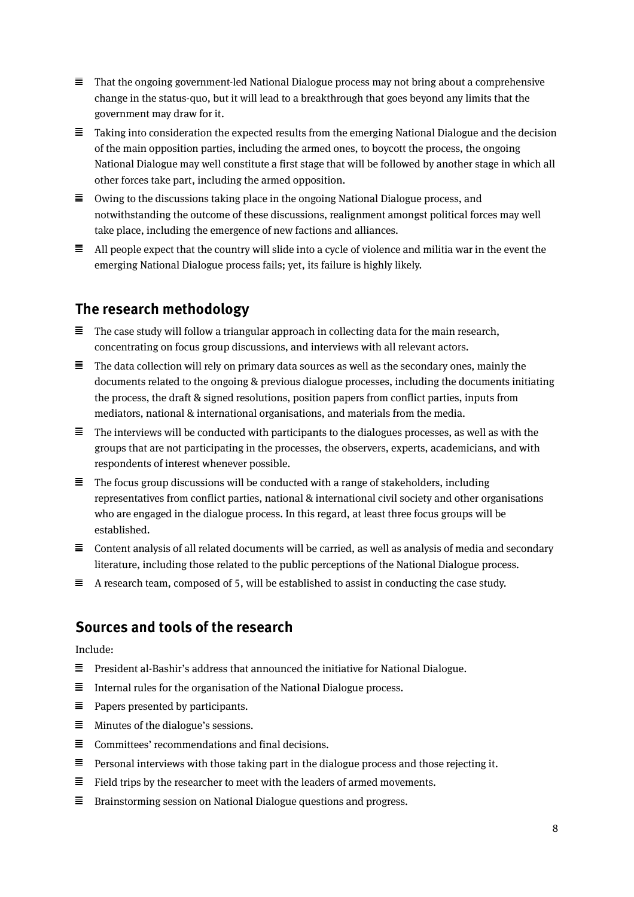- $\equiv$  That the ongoing government-led National Dialogue process may not bring about a comprehensive change in the status-quo, but it will lead to a breakthrough that goes beyond any limits that the government may draw for it.
- $\equiv$  Taking into consideration the expected results from the emerging National Dialogue and the decision of the main opposition parties, including the armed ones, to boycott the process, the ongoing National Dialogue may well constitute a first stage that will be followed by another stage in which all other forces take part, including the armed opposition.
- $\equiv$  Owing to the discussions taking place in the ongoing National Dialogue process, and notwithstanding the outcome of these discussions, realignment amongst political forces may well take place, including the emergence of new factions and alliances.
- $\equiv$  All people expect that the country will slide into a cycle of violence and militia war in the event the emerging National Dialogue process fails; yet, its failure is highly likely.

# **The research methodology**

- $\equiv$  The case study will follow a triangular approach in collecting data for the main research, concentrating on focus group discussions, and interviews with all relevant actors.
- $\equiv$  The data collection will rely on primary data sources as well as the secondary ones, mainly the documents related to the ongoing & previous dialogue processes, including the documents initiating the process, the draft & signed resolutions, position papers from conflict parties, inputs from mediators, national & international organisations, and materials from the media.
- $\equiv$  The interviews will be conducted with participants to the dialogues processes, as well as with the groups that are not participating in the processes, the observers, experts, academicians, and with respondents of interest whenever possible.
- $\equiv$  The focus group discussions will be conducted with a range of stakeholders, including representatives from conflict parties, national & international civil society and other organisations who are engaged in the dialogue process. In this regard, at least three focus groups will be established.
- $\equiv$  Content analysis of all related documents will be carried, as well as analysis of media and secondary literature, including those related to the public perceptions of the National Dialogue process.
- $\equiv$  A research team, composed of 5, will be established to assist in conducting the case study.

## **Sources and tools of the research**

Include:

- $\equiv$  President al-Bashir's address that announced the initiative for National Dialogue.
- $\equiv$ Internal rules for the organisation of the National Dialogue process.
- $\equiv$  Papers presented by participants.
- $\equiv$  Minutes of the dialogue's sessions.
- $\equiv$  Committees' recommendations and final decisions.
- $\equiv$  Personal interviews with those taking part in the dialogue process and those rejecting it.
- $\equiv$  Field trips by the researcher to meet with the leaders of armed movements.
- $\equiv$  Brainstorming session on National Dialogue questions and progress.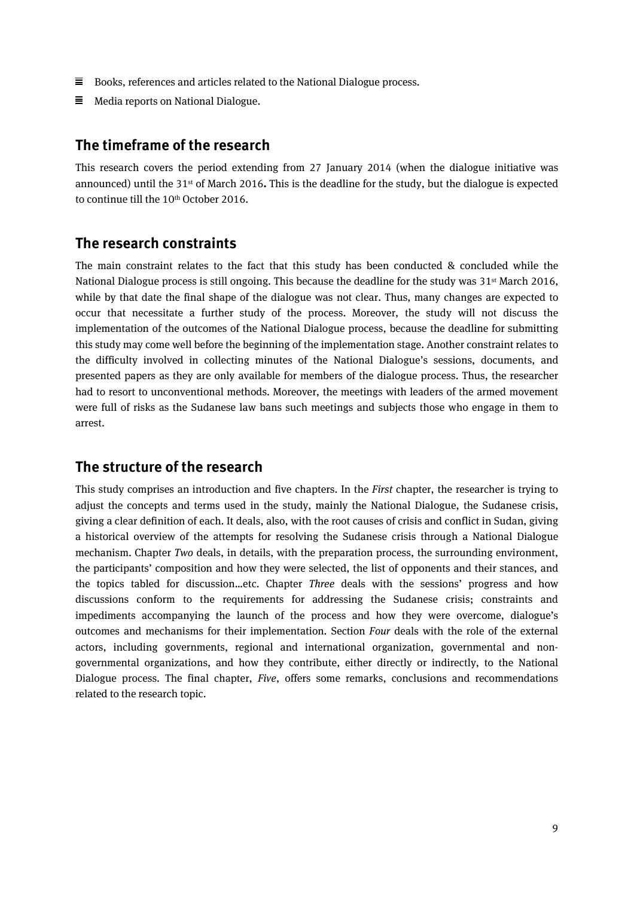- $\equiv$  Books, references and articles related to the National Dialogue process.
- $\equiv$  Media reports on National Dialogue.

#### **The timeframe of the research**

This research covers the period extending from 27 January 2014 (when the dialogue initiative was announced) until the 31st of March 2016**.** This is the deadline for the study, but the dialogue is expected to continue till the 10th October 2016.

#### **The research constraints**

The main constraint relates to the fact that this study has been conducted & concluded while the National Dialogue process is still ongoing. This because the deadline for the study was 31<sup>st</sup> March 2016, while by that date the final shape of the dialogue was not clear. Thus, many changes are expected to occur that necessitate a further study of the process. Moreover, the study will not discuss the implementation of the outcomes of the National Dialogue process, because the deadline for submitting this study may come well before the beginning of the implementation stage. Another constraint relates to the difficulty involved in collecting minutes of the National Dialogue's sessions, documents, and presented papers as they are only available for members of the dialogue process. Thus, the researcher had to resort to unconventional methods. Moreover, the meetings with leaders of the armed movement were full of risks as the Sudanese law bans such meetings and subjects those who engage in them to arrest.

#### **The structure of the research**

This study comprises an introduction and five chapters. In the *First* chapter, the researcher is trying to adjust the concepts and terms used in the study, mainly the National Dialogue, the Sudanese crisis, giving a clear definition of each. It deals, also, with the root causes of crisis and conflict in Sudan, giving a historical overview of the attempts for resolving the Sudanese crisis through a National Dialogue mechanism. Chapter *Two* deals, in details, with the preparation process, the surrounding environment, the participants' composition and how they were selected, the list of opponents and their stances, and the topics tabled for discussion…etc. Chapter *Three* deals with the sessions' progress and how discussions conform to the requirements for addressing the Sudanese crisis; constraints and impediments accompanying the launch of the process and how they were overcome, dialogue's outcomes and mechanisms for their implementation. Section *Four* deals with the role of the external actors, including governments, regional and international organization, governmental and nongovernmental organizations, and how they contribute, either directly or indirectly, to the National Dialogue process. The final chapter, *Five*, offers some remarks, conclusions and recommendations related to the research topic.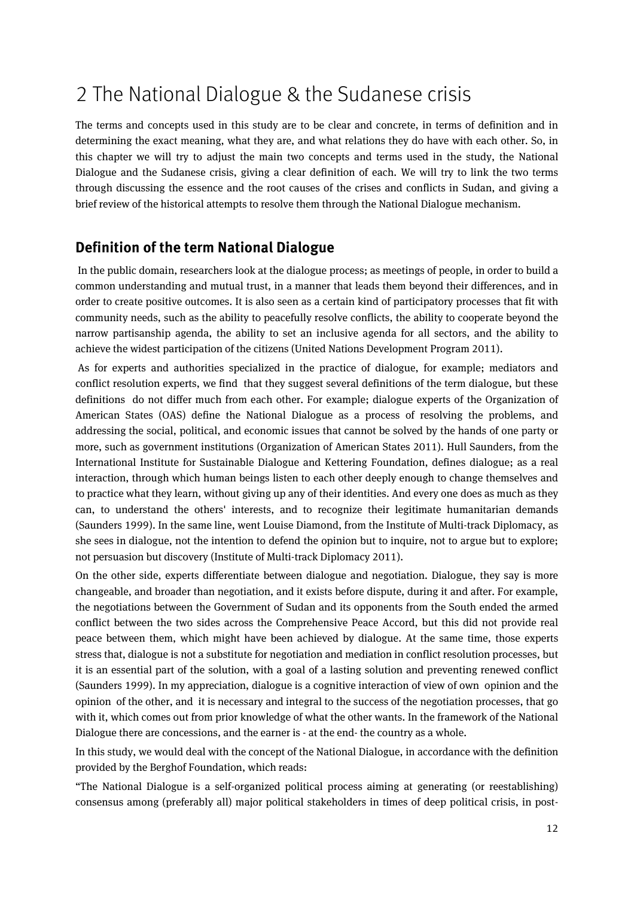# <span id="page-9-0"></span>2 The National Dialogue & the Sudanese crisis

The terms and concepts used in this study are to be clear and concrete, in terms of definition and in determining the exact meaning, what they are, and what relations they do have with each other. So, in this chapter we will try to adjust the main two concepts and terms used in the study, the National Dialogue and the Sudanese crisis, giving a clear definition of each. We will try to link the two terms through discussing the essence and the root causes of the crises and conflicts in Sudan, and giving a brief review of the historical attempts to resolve them through the National Dialogue mechanism.

## **Definition of the term National Dialogue**

In the public domain, researchers look at the dialogue process; as meetings of people, in order to build a common understanding and mutual trust, in a manner that leads them beyond their differences, and in order to create positive outcomes. It is also seen as a certain kind of participatory processes that fit with community needs, such as the ability to peacefully resolve conflicts, the ability to cooperate beyond the narrow partisanship agenda, the ability to set an inclusive agenda for all sectors, and the ability to achieve the widest participation of the citizens (United Nations Development Program 2011).

As for experts and authorities specialized in the practice of dialogue, for example; mediators and conflict resolution experts, we find that they suggest several definitions of the term dialogue, but these definitions do not differ much from each other. For example; dialogue experts of the Organization of American States (OAS) define the National Dialogue as a process of resolving the problems, and addressing the social, political, and economic issues that cannot be solved by the hands of one party or more, such as government institutions (Organization of American States 2011). Hull Saunders, from the International Institute for Sustainable Dialogue and Kettering Foundation, defines dialogue; as a real interaction, through which human beings listen to each other deeply enough to change themselves and to practice what they learn, without giving up any of their identities. And every one does as much as they can, to understand the others' interests, and to recognize their legitimate humanitarian demands (Saunders 1999). In the same line, went Louise Diamond, from the Institute of Multi-track Diplomacy, as she sees in dialogue, not the intention to defend the opinion but to inquire, not to argue but to explore; not persuasion but discovery (Institute of Multi-track Diplomacy 2011).

On the other side, experts differentiate between dialogue and negotiation. Dialogue, they say is more changeable, and broader than negotiation, and it exists before dispute, during it and after. For example, the negotiations between the Government of Sudan and its opponents from the South ended the armed conflict between the two sides across the Comprehensive Peace Accord, but this did not provide real peace between them, which might have been achieved by dialogue. At the same time, those experts stress that, dialogue is not a substitute for negotiation and mediation in conflict resolution processes, but it is an essential part of the solution, with a goal of a lasting solution and preventing renewed conflict (Saunders 1999). In my appreciation, dialogue is a cognitive interaction of view of own opinion and the opinion of the other, and it is necessary and integral to the success of the negotiation processes, that go with it, which comes out from prior knowledge of what the other wants. In the framework of the National Dialogue there are concessions, and the earner is - at the end- the country as a whole.

In this study, we would deal with the concept of the National Dialogue, in accordance with the definition provided by the Berghof Foundation, which reads:

"The National Dialogue is a self-organized political process aiming at generating (or reestablishing) consensus among (preferably all) major political stakeholders in times of deep political crisis, in post-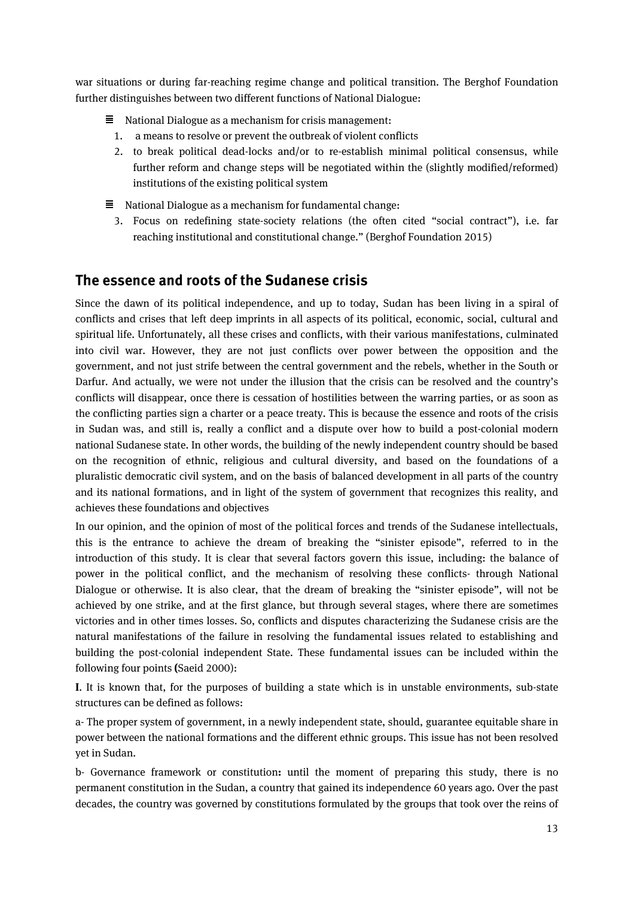war situations or during far-reaching regime change and political transition. The Berghof Foundation further distinguishes between two different functions of National Dialogue:

- $\equiv$  National Dialogue as a mechanism for crisis management:
	- 1. a means to resolve or prevent the outbreak of violent conflicts
	- 2. to break political dead-locks and/or to re-establish minimal political consensus, while further reform and change steps will be negotiated within the (slightly modified/reformed) institutions of the existing political system
- $\equiv$  National Dialogue as a mechanism for fundamental change:
- 3. Focus on redefining state-society relations (the often cited "social contract"), i.e. far reaching institutional and constitutional change." (Berghof Foundation 2015)

#### **The essence and roots of the Sudanese crisis**

Since the dawn of its political independence, and up to today, Sudan has been living in a spiral of conflicts and crises that left deep imprints in all aspects of its political, economic, social, cultural and spiritual life. Unfortunately, all these crises and conflicts, with their various manifestations, culminated into civil war. However, they are not just conflicts over power between the opposition and the government, and not just strife between the central government and the rebels, whether in the South or Darfur. And actually, we were not under the illusion that the crisis can be resolved and the country's conflicts will disappear, once there is cessation of hostilities between the warring parties, or as soon as the conflicting parties sign a charter or a peace treaty. This is because the essence and roots of the crisis in Sudan was, and still is, really a conflict and a dispute over how to build a post-colonial modern national Sudanese state. In other words, the building of the newly independent country should be based on the recognition of ethnic, religious and cultural diversity, and based on the foundations of a pluralistic democratic civil system, and on the basis of balanced development in all parts of the country and its national formations, and in light of the system of government that recognizes this reality, and achieves these foundations and objectives

In our opinion, and the opinion of most of the political forces and trends of the Sudanese intellectuals, this is the entrance to achieve the dream of breaking the "sinister episode", referred to in the introduction of this study. It is clear that several factors govern this issue, including: the balance of power in the political conflict, and the mechanism of resolving these conflicts- through National Dialogue or otherwise. It is also clear, that the dream of breaking the "sinister episode", will not be achieved by one strike, and at the first glance, but through several stages, where there are sometimes victories and in other times losses. So, conflicts and disputes characterizing the Sudanese crisis are the natural manifestations of the failure in resolving the fundamental issues related to establishing and building the post-colonial independent State. These fundamental issues can be included within the following four points **(**Saeid 2000):

**I**. It is known that, for the purposes of building a state which is in unstable environments, sub-state structures can be defined as follows:

a- The proper system of government, in a newly independent state, should, guarantee equitable share in power between the national formations and the different ethnic groups. This issue has not been resolved yet in Sudan.

b- Governance framework or constitution**:** until the moment of preparing this study, there is no permanent constitution in the Sudan, a country that gained its independence 60 years ago. Over the past decades, the country was governed by constitutions formulated by the groups that took over the reins of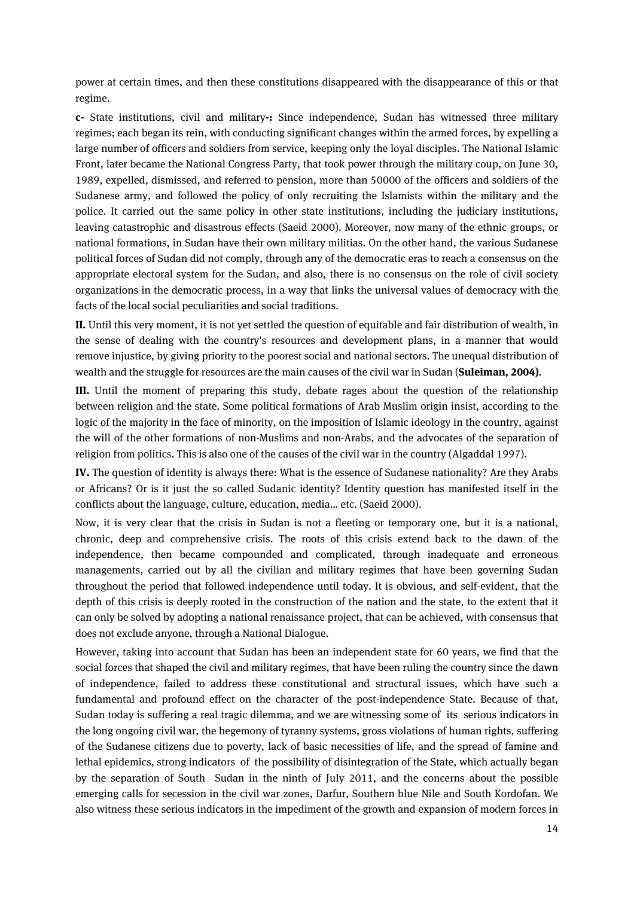power at certain times, and then these constitutions disappeared with the disappearance of this or that regime.

**c-** State institutions, civil and military**-:** Since independence, Sudan has witnessed three military regimes; each began its rein, with conducting significant changes within the armed forces, by expelling a large number of officers and soldiers from service, keeping only the loyal disciples. The National Islamic Front, later became the National Congress Party, that took power through the military coup, on June 30, 1989, expelled, dismissed, and referred to pension, more than 50000 of the officers and soldiers of the Sudanese army, and followed the policy of only recruiting the Islamists within the military and the police. It carried out the same policy in other state institutions, including the judiciary institutions, leaving catastrophic and disastrous effects (Saeid 2000). Moreover, now many of the ethnic groups, or national formations, in Sudan have their own military militias. On the other hand, the various Sudanese political forces of Sudan did not comply, through any of the democratic eras to reach a consensus on the appropriate electoral system for the Sudan, and also, there is no consensus on the role of civil society organizations in the democratic process, in a way that links the universal values of democracy with the facts of the local social peculiarities and social traditions.

**II.** Until this very moment, it is not yet settled the question of equitable and fair distribution of wealth, in the sense of dealing with the country's resources and development plans, in a manner that would remove injustice, by giving priority to the poorest social and national sectors. The unequal distribution of wealth and the struggle for resources are the main causes of the civil war in Sudan (**Suleiman, 2004)**.

**III.** Until the moment of preparing this study, debate rages about the question of the relationship between religion and the state. Some political formations of Arab Muslim origin insist, according to the logic of the majority in the face of minority, on the imposition of Islamic ideology in the country, against the will of the other formations of non-Muslims and non-Arabs, and the advocates of the separation of religion from politics. This is also one of the causes of the civil war in the country (Algaddal 1997).

**IV.** The question of identity is always there: What is the essence of Sudanese nationality? Are they Arabs or Africans? Or is it just the so called Sudanic identity? Identity question has manifested itself in the conflicts about the language, culture, education, media… etc. (Saeid 2000).

Now, it is very clear that the crisis in Sudan is not a fleeting or temporary one, but it is a national, chronic, deep and comprehensive crisis. The roots of this crisis extend back to the dawn of the independence, then became compounded and complicated, through inadequate and erroneous managements, carried out by all the civilian and military regimes that have been governing Sudan throughout the period that followed independence until today. It is obvious, and self-evident, that the depth of this crisis is deeply rooted in the construction of the nation and the state, to the extent that it can only be solved by adopting a national renaissance project, that can be achieved, with consensus that does not exclude anyone, through a National Dialogue.

However, taking into account that Sudan has been an independent state for 60 years, we find that the social forces that shaped the civil and military regimes, that have been ruling the country since the dawn of independence, failed to address these constitutional and structural issues, which have such a fundamental and profound effect on the character of the post-independence State. Because of that, Sudan today is suffering a real tragic dilemma, and we are witnessing some of its serious indicators in the long ongoing civil war, the hegemony of tyranny systems, gross violations of human rights, suffering of the Sudanese citizens due to poverty, lack of basic necessities of life, and the spread of famine and lethal epidemics, strong indicators of the possibility of disintegration of the State, which actually began by the separation of South Sudan in the ninth of July 2011, and the concerns about the possible emerging calls for secession in the civil war zones, Darfur, Southern blue Nile and South Kordofan. We also witness these serious indicators in the impediment of the growth and expansion of modern forces in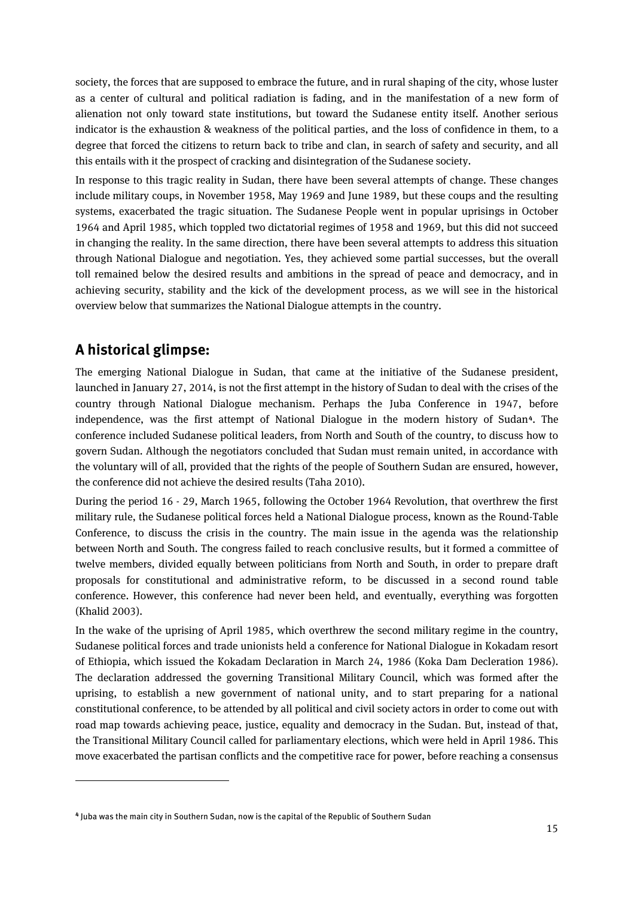society, the forces that are supposed to embrace the future, and in rural shaping of the city, whose luster as a center of cultural and political radiation is fading, and in the manifestation of a new form of alienation not only toward state institutions, but toward the Sudanese entity itself. Another serious indicator is the exhaustion & weakness of the political parties, and the loss of confidence in them, to a degree that forced the citizens to return back to tribe and clan, in search of safety and security, and all this entails with it the prospect of cracking and disintegration of the Sudanese society.

In response to this tragic reality in Sudan, there have been several attempts of change. These changes include military coups, in November 1958, May 1969 and June 1989, but these coups and the resulting systems, exacerbated the tragic situation. The Sudanese People went in popular uprisings in October 1964 and April 1985, which toppled two dictatorial regimes of 1958 and 1969, but this did not succeed in changing the reality. In the same direction, there have been several attempts to address this situation through National Dialogue and negotiation. Yes, they achieved some partial successes, but the overall toll remained below the desired results and ambitions in the spread of peace and democracy, and in achieving security, stability and the kick of the development process, as we will see in the historical overview below that summarizes the National Dialogue attempts in the country.

## **A historical glimpse:**

 $\overline{a}$ 

The emerging National Dialogue in Sudan, that came at the initiative of the Sudanese president, launched in January 27, 2014, is not the first attempt in the history of Sudan to deal with the crises of the country through National Dialogue mechanism. Perhaps the Juba Conference in 1947, before independence, was the first attempt of National Dialogue in the modern history of Sudan**[4](#page-12-0)**. The conference included Sudanese political leaders, from North and South of the country, to discuss how to govern Sudan. Although the negotiators concluded that Sudan must remain united, in accordance with the voluntary will of all, provided that the rights of the people of Southern Sudan are ensured, however, the conference did not achieve the desired results (Taha 2010).

During the period 16 - 29, March 1965, following the October 1964 Revolution, that overthrew the first military rule, the Sudanese political forces held a National Dialogue process, known as the Round-Table Conference, to discuss the crisis in the country. The main issue in the agenda was the relationship between North and South. The congress failed to reach conclusive results, but it formed a committee of twelve members, divided equally between politicians from North and South, in order to prepare draft proposals for constitutional and administrative reform, to be discussed in a second round table conference. However, this conference had never been held, and eventually, everything was forgotten (Khalid 2003).

In the wake of the uprising of April 1985, which overthrew the second military regime in the country, Sudanese political forces and trade unionists held a conference for National Dialogue in Kokadam resort of Ethiopia, which issued the Kokadam Declaration in March 24, 1986 (Koka Dam Decleration 1986). The declaration addressed the governing Transitional Military Council, which was formed after the uprising, to establish a new government of national unity, and to start preparing for a national constitutional conference, to be attended by all political and civil society actors in order to come out with road map towards achieving peace, justice, equality and democracy in the Sudan. But, instead of that, the Transitional Military Council called for parliamentary elections, which were held in April 1986. This move exacerbated the partisan conflicts and the competitive race for power, before reaching a consensus

<span id="page-12-0"></span>**<sup>4</sup>** Juba was the main city in Southern Sudan, now is the capital of the Republic of Southern Sudan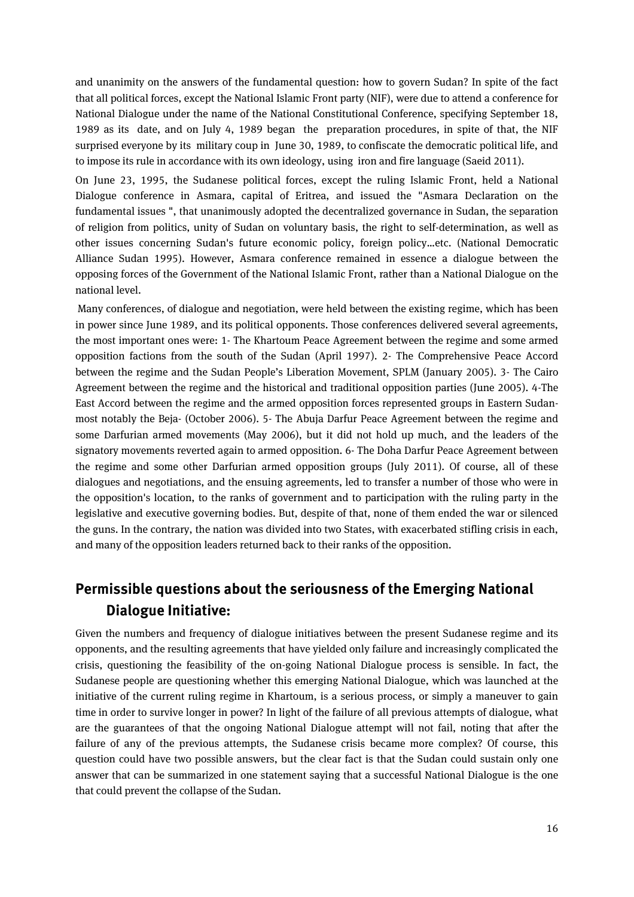and unanimity on the answers of the fundamental question: how to govern Sudan? In spite of the fact that all political forces, except the National Islamic Front party (NIF), were due to attend a conference for National Dialogue under the name of the National Constitutional Conference, specifying September 18, 1989 as its date, and on July 4, 1989 began the preparation procedures, in spite of that, the NIF surprised everyone by its military coup in June 30, 1989, to confiscate the democratic political life, and to impose its rule in accordance with its own ideology, using iron and fire language (Saeid 2011).

On June 23, 1995, the Sudanese political forces, except the ruling Islamic Front, held a National Dialogue conference in Asmara, capital of Eritrea, and issued the "Asmara Declaration on the fundamental issues ", that unanimously adopted the decentralized governance in Sudan, the separation of religion from politics, unity of Sudan on voluntary basis, the right to self-determination, as well as other issues concerning Sudan's future economic policy, foreign policy…etc. (National Democratic Alliance Sudan 1995). However, Asmara conference remained in essence a dialogue between the opposing forces of the Government of the National Islamic Front, rather than a National Dialogue on the national level.

Many conferences, of dialogue and negotiation, were held between the existing regime, which has been in power since June 1989, and its political opponents. Those conferences delivered several agreements, the most important ones were: 1- The Khartoum Peace Agreement between the regime and some armed opposition factions from the south of the Sudan (April 1997). 2- The Comprehensive Peace Accord between the regime and the Sudan People's Liberation Movement, SPLM (January 2005). 3- The Cairo Agreement between the regime and the historical and traditional opposition parties (June 2005). 4-The East Accord between the regime and the armed opposition forces represented groups in Eastern Sudanmost notably the Beja- (October 2006). 5- The Abuja Darfur Peace Agreement between the regime and some Darfurian armed movements (May 2006), but it did not hold up much, and the leaders of the signatory movements reverted again to armed opposition. 6- The Doha Darfur Peace Agreement between the regime and some other Darfurian armed opposition groups (July 2011). Of course, all of these dialogues and negotiations, and the ensuing agreements, led to transfer a number of those who were in the opposition's location, to the ranks of government and to participation with the ruling party in the legislative and executive governing bodies. But, despite of that, none of them ended the war or silenced the guns. In the contrary, the nation was divided into two States, with exacerbated stifling crisis in each, and many of the opposition leaders returned back to their ranks of the opposition.

# **Permissible questions about the seriousness of the Emerging National Dialogue Initiative:**

Given the numbers and frequency of dialogue initiatives between the present Sudanese regime and its opponents, and the resulting agreements that have yielded only failure and increasingly complicated the crisis, questioning the feasibility of the on-going National Dialogue process is sensible. In fact, the Sudanese people are questioning whether this emerging National Dialogue, which was launched at the initiative of the current ruling regime in Khartoum, is a serious process, or simply a maneuver to gain time in order to survive longer in power? In light of the failure of all previous attempts of dialogue, what are the guarantees of that the ongoing National Dialogue attempt will not fail, noting that after the failure of any of the previous attempts, the Sudanese crisis became more complex? Of course, this question could have two possible answers, but the clear fact is that the Sudan could sustain only one answer that can be summarized in one statement saying that a successful National Dialogue is the one that could prevent the collapse of the Sudan.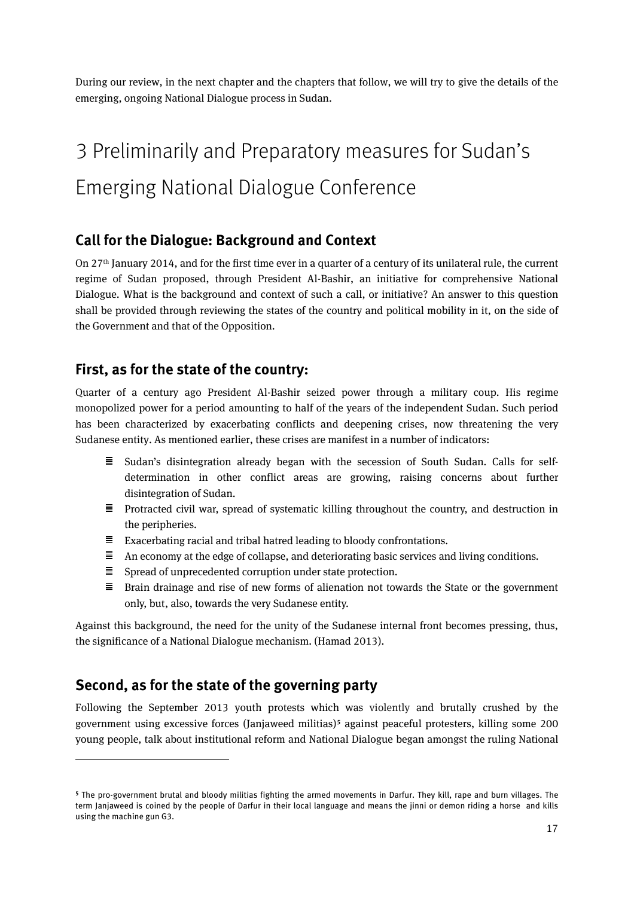During our review, in the next chapter and the chapters that follow, we will try to give the details of the emerging, ongoing National Dialogue process in Sudan.

# <span id="page-14-0"></span>3 Preliminarily and Preparatory measures for Sudan's Emerging National Dialogue Conference

#### **Call for the Dialogue: Background and Context**

On 27th January 2014, and for the first time ever in a quarter of a century of its unilateral rule, the current regime of Sudan proposed, through President Al-Bashir, an initiative for comprehensive National Dialogue. What is the background and context of such a call, or initiative? An answer to this question shall be provided through reviewing the states of the country and political mobility in it, on the side of the Government and that of the Opposition.

#### **First, as for the state of the country:**

Quarter of a century ago President Al-Bashir seized power through a military coup. His regime monopolized power for a period amounting to half of the years of the independent Sudan. Such period has been characterized by exacerbating conflicts and deepening crises, now threatening the very Sudanese entity. As mentioned earlier, these crises are manifest in a number of indicators:

- $\equiv$  Sudan's disintegration already began with the secession of South Sudan. Calls for selfdetermination in other conflict areas are growing, raising concerns about further disintegration of Sudan.
- $\equiv$  Protracted civil war, spread of systematic killing throughout the country, and destruction in the peripheries.
- $\equiv$  Exacerbating racial and tribal hatred leading to bloody confrontations.
- $\Xi$  An economy at the edge of collapse, and deteriorating basic services and living conditions.
- $\equiv$  Spread of unprecedented corruption under state protection.
- $\equiv$  Brain drainage and rise of new forms of alienation not towards the State or the government only, but, also, towards the very Sudanese entity.

Against this background, the need for the unity of the Sudanese internal front becomes pressing, thus, the significance of a National Dialogue mechanism. (Hamad 2013).

## **Second, as for the state of the governing party**

 $\overline{a}$ 

Following the September 2013 youth protests which was violently and brutally crushed by the government using excessive forces (Janjaweed militias)**[5](#page-14-1)** against peaceful protesters, killing some 200 young people, talk about institutional reform and National Dialogue began amongst the ruling National

<span id="page-14-1"></span>**<sup>5</sup>** The pro-government brutal and bloody militias fighting the armed movements in Darfur. They kill, rape and burn villages. The term Janjaweed is coined by the people of Darfur in their local language and means the jinni or demon riding a horse and kills using the machine gun G3.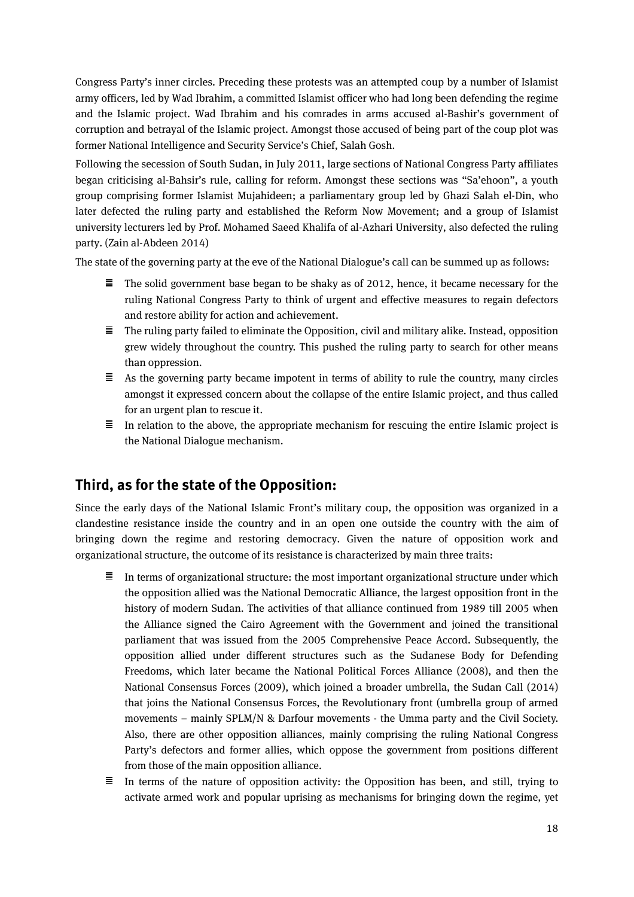Congress Party's inner circles. Preceding these protests was an attempted coup by a number of Islamist army officers, led by Wad Ibrahim, a committed Islamist officer who had long been defending the regime and the Islamic project. Wad Ibrahim and his comrades in arms accused al-Bashir's government of corruption and betrayal of the Islamic project. Amongst those accused of being part of the coup plot was former National Intelligence and Security Service's Chief, Salah Gosh.

Following the secession of South Sudan, in July 2011, large sections of National Congress Party affiliates began criticising al-Bahsir's rule, calling for reform. Amongst these sections was "Sa'ehoon", a youth group comprising former Islamist Mujahideen; a parliamentary group led by Ghazi Salah el-Din, who later defected the ruling party and established the Reform Now Movement; and a group of Islamist university lecturers led by Prof. Mohamed Saeed Khalifa of al-Azhari University, also defected the ruling party. (Zain al-Abdeen 2014)

The state of the governing party at the eve of the National Dialogue's call can be summed up as follows:

- $\equiv$  The solid government base began to be shaky as of 2012, hence, it became necessary for the ruling National Congress Party to think of urgent and effective measures to regain defectors and restore ability for action and achievement.
- $\equiv$  The ruling party failed to eliminate the Opposition, civil and military alike. Instead, opposition grew widely throughout the country. This pushed the ruling party to search for other means than oppression.
- $\equiv$  As the governing party became impotent in terms of ability to rule the country, many circles amongst it expressed concern about the collapse of the entire Islamic project, and thus called for an urgent plan to rescue it.
- 三 In relation to the above, the appropriate mechanism for rescuing the entire Islamic project is the National Dialogue mechanism.

#### **Third, as for the state of the Opposition:**

Since the early days of the National Islamic Front's military coup, the opposition was organized in a clandestine resistance inside the country and in an open one outside the country with the aim of bringing down the regime and restoring democracy. Given the nature of opposition work and organizational structure, the outcome of its resistance is characterized by main three traits:

- $\equiv$  In terms of organizational structure: the most important organizational structure under which the opposition allied was the National Democratic Alliance, the largest opposition front in the history of modern Sudan. The activities of that alliance continued from 1989 till 2005 when the Alliance signed the Cairo Agreement with the Government and joined the transitional parliament that was issued from the 2005 Comprehensive Peace Accord. Subsequently, the opposition allied under different structures such as the Sudanese Body for Defending Freedoms, which later became the National Political Forces Alliance (2008), and then the National Consensus Forces (2009), which joined a broader umbrella, the Sudan Call (2014) that joins the National Consensus Forces, the Revolutionary front (umbrella group of armed movements – mainly SPLM/N & Darfour movements - the Umma party and the Civil Society. Also, there are other opposition alliances, mainly comprising the ruling National Congress Party's defectors and former allies, which oppose the government from positions different from those of the main opposition alliance.
- $\equiv$  In terms of the nature of opposition activity: the Opposition has been, and still, trying to activate armed work and popular uprising as mechanisms for bringing down the regime, yet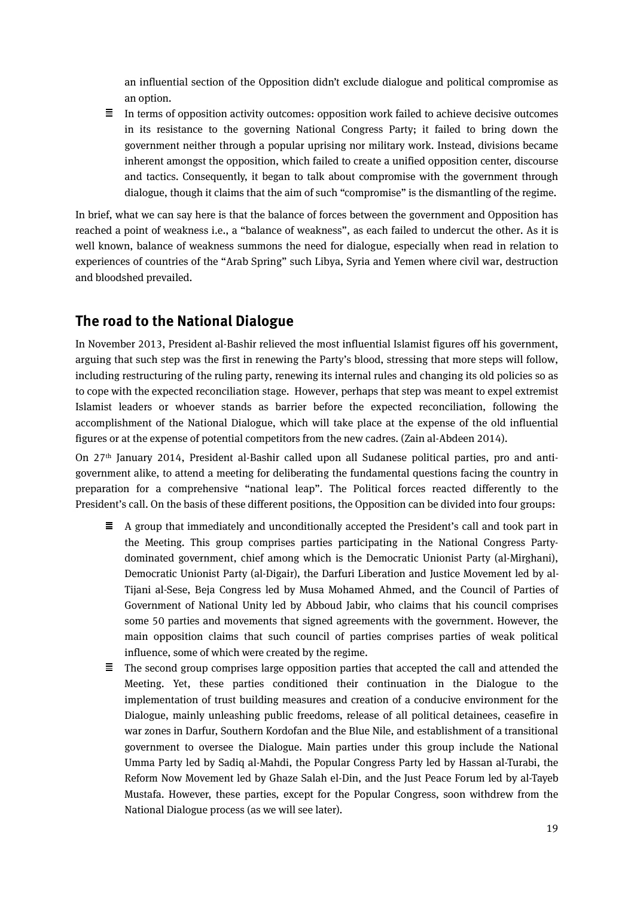an influential section of the Opposition didn't exclude dialogue and political compromise as an option.

 $\equiv$  In terms of opposition activity outcomes: opposition work failed to achieve decisive outcomes in its resistance to the governing National Congress Party; it failed to bring down the government neither through a popular uprising nor military work. Instead, divisions became inherent amongst the opposition, which failed to create a unified opposition center, discourse and tactics. Consequently, it began to talk about compromise with the government through dialogue, though it claims that the aim of such "compromise" is the dismantling of the regime.

In brief, what we can say here is that the balance of forces between the government and Opposition has reached a point of weakness i.e., a "balance of weakness", as each failed to undercut the other. As it is well known, balance of weakness summons the need for dialogue, especially when read in relation to experiences of countries of the "Arab Spring" such Libya, Syria and Yemen where civil war, destruction and bloodshed prevailed.

## **The road to the National Dialogue**

In November 2013, President al-Bashir relieved the most influential Islamist figures off his government, arguing that such step was the first in renewing the Party's blood, stressing that more steps will follow, including restructuring of the ruling party, renewing its internal rules and changing its old policies so as to cope with the expected reconciliation stage. However, perhaps that step was meant to expel extremist Islamist leaders or whoever stands as barrier before the expected reconciliation, following the accomplishment of the National Dialogue, which will take place at the expense of the old influential figures or at the expense of potential competitors from the new cadres. (Zain al-Abdeen 2014).

On 27th January 2014, President al-Bashir called upon all Sudanese political parties, pro and antigovernment alike, to attend a meeting for deliberating the fundamental questions facing the country in preparation for a comprehensive "national leap". The Political forces reacted differently to the President's call. On the basis of these different positions, the Opposition can be divided into four groups:

- $\equiv$  A group that immediately and unconditionally accepted the President's call and took part in the Meeting. This group comprises parties participating in the National Congress Partydominated government, chief among which is the Democratic Unionist Party (al-Mirghani), Democratic Unionist Party (al-Digair), the Darfuri Liberation and Justice Movement led by al-Tijani al-Sese, Beja Congress led by Musa Mohamed Ahmed, and the Council of Parties of Government of National Unity led by Abboud Jabir, who claims that his council comprises some 50 parties and movements that signed agreements with the government. However, the main opposition claims that such council of parties comprises parties of weak political influence, some of which were created by the regime.
- $\equiv$  The second group comprises large opposition parties that accepted the call and attended the Meeting. Yet, these parties conditioned their continuation in the Dialogue to the implementation of trust building measures and creation of a conducive environment for the Dialogue, mainly unleashing public freedoms, release of all political detainees, ceasefire in war zones in Darfur, Southern Kordofan and the Blue Nile, and establishment of a transitional government to oversee the Dialogue. Main parties under this group include the National Umma Party led by Sadiq al-Mahdi, the Popular Congress Party led by Hassan al-Turabi, the Reform Now Movement led by Ghaze Salah el-Din, and the Just Peace Forum led by al-Tayeb Mustafa. However, these parties, except for the Popular Congress, soon withdrew from the National Dialogue process (as we will see later).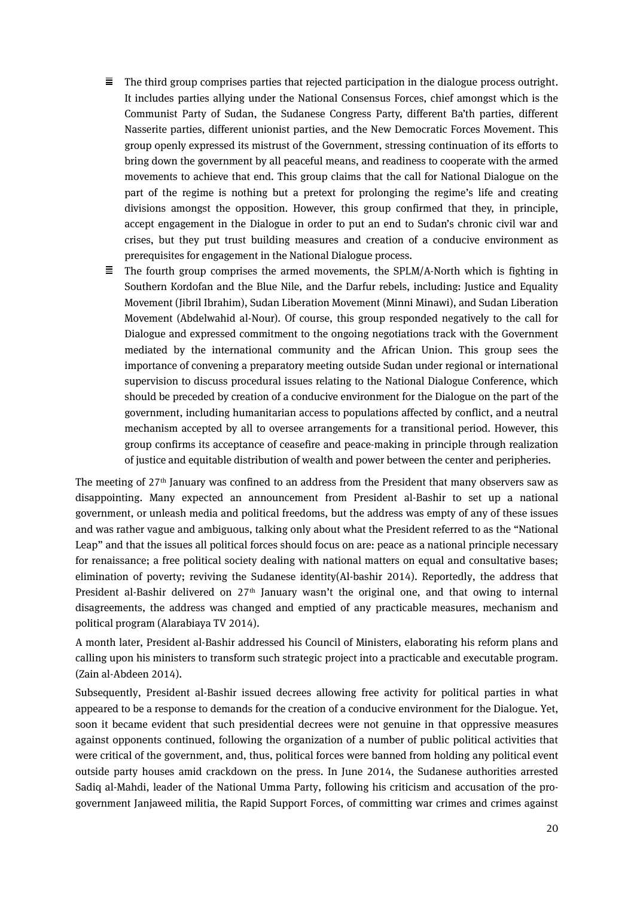- 目。 The third group comprises parties that rejected participation in the dialogue process outright. It includes parties allying under the National Consensus Forces, chief amongst which is the Communist Party of Sudan, the Sudanese Congress Party, different Ba'th parties, different Nasserite parties, different unionist parties, and the New Democratic Forces Movement. This group openly expressed its mistrust of the Government, stressing continuation of its efforts to bring down the government by all peaceful means, and readiness to cooperate with the armed movements to achieve that end. This group claims that the call for National Dialogue on the part of the regime is nothing but a pretext for prolonging the regime's life and creating divisions amongst the opposition. However, this group confirmed that they, in principle, accept engagement in the Dialogue in order to put an end to Sudan's chronic civil war and crises, but they put trust building measures and creation of a conducive environment as prerequisites for engagement in the National Dialogue process.
- $\equiv$  The fourth group comprises the armed movements, the SPLM/A-North which is fighting in Southern Kordofan and the Blue Nile, and the Darfur rebels, including: Justice and Equality Movement (Jibril Ibrahim), Sudan Liberation Movement (Minni Minawi), and Sudan Liberation Movement (Abdelwahid al-Nour). Of course, this group responded negatively to the call for Dialogue and expressed commitment to the ongoing negotiations track with the Government mediated by the international community and the African Union. This group sees the importance of convening a preparatory meeting outside Sudan under regional or international supervision to discuss procedural issues relating to the National Dialogue Conference, which should be preceded by creation of a conducive environment for the Dialogue on the part of the government, including humanitarian access to populations affected by conflict, and a neutral mechanism accepted by all to oversee arrangements for a transitional period. However, this group confirms its acceptance of ceasefire and peace-making in principle through realization of justice and equitable distribution of wealth and power between the center and peripheries.

The meeting of 27th January was confined to an address from the President that many observers saw as disappointing. Many expected an announcement from President al-Bashir to set up a national government, or unleash media and political freedoms, but the address was empty of any of these issues and was rather vague and ambiguous, talking only about what the President referred to as the "National Leap" and that the issues all political forces should focus on are: peace as a national principle necessary for renaissance; a free political society dealing with national matters on equal and consultative bases; elimination of poverty; reviving the Sudanese identity(Al-bashir 2014). Reportedly, the address that President al-Bashir delivered on 27<sup>th</sup> January wasn't the original one, and that owing to internal disagreements, the address was changed and emptied of any practicable measures, mechanism and political program (Alarabiaya TV 2014).

A month later, President al-Bashir addressed his Council of Ministers, elaborating his reform plans and calling upon his ministers to transform such strategic project into a practicable and executable program. (Zain al-Abdeen 2014).

Subsequently, President al-Bashir issued decrees allowing free activity for political parties in what appeared to be a response to demands for the creation of a conducive environment for the Dialogue. Yet, soon it became evident that such presidential decrees were not genuine in that oppressive measures against opponents continued, following the organization of a number of public political activities that were critical of the government, and, thus, political forces were banned from holding any political event outside party houses amid crackdown on the press. In June 2014, the Sudanese authorities arrested Sadiq al-Mahdi, leader of the National Umma Party, following his criticism and accusation of the progovernment Janjaweed militia, the Rapid Support Forces, of committing war crimes and crimes against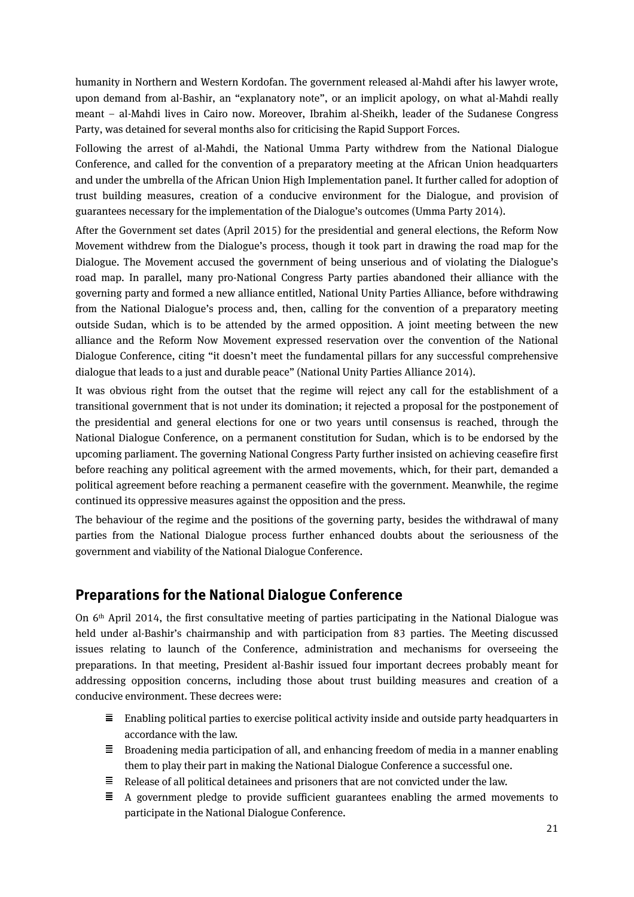humanity in Northern and Western Kordofan. The government released al-Mahdi after his lawyer wrote, upon demand from al-Bashir, an "explanatory note", or an implicit apology, on what al-Mahdi really meant – al-Mahdi lives in Cairo now. Moreover, Ibrahim al-Sheikh, leader of the Sudanese Congress Party, was detained for several months also for criticising the Rapid Support Forces.

Following the arrest of al-Mahdi, the National Umma Party withdrew from the National Dialogue Conference, and called for the convention of a preparatory meeting at the African Union headquarters and under the umbrella of the African Union High Implementation panel. It further called for adoption of trust building measures, creation of a conducive environment for the Dialogue, and provision of guarantees necessary for the implementation of the Dialogue's outcomes (Umma Party 2014).

After the Government set dates (April 2015) for the presidential and general elections, the Reform Now Movement withdrew from the Dialogue's process, though it took part in drawing the road map for the Dialogue. The Movement accused the government of being unserious and of violating the Dialogue's road map. In parallel, many pro-National Congress Party parties abandoned their alliance with the governing party and formed a new alliance entitled, National Unity Parties Alliance, before withdrawing from the National Dialogue's process and, then, calling for the convention of a preparatory meeting outside Sudan, which is to be attended by the armed opposition. A joint meeting between the new alliance and the Reform Now Movement expressed reservation over the convention of the National Dialogue Conference, citing "it doesn't meet the fundamental pillars for any successful comprehensive dialogue that leads to a just and durable peace" (National Unity Parties Alliance 2014).

It was obvious right from the outset that the regime will reject any call for the establishment of a transitional government that is not under its domination; it rejected a proposal for the postponement of the presidential and general elections for one or two years until consensus is reached, through the National Dialogue Conference, on a permanent constitution for Sudan, which is to be endorsed by the upcoming parliament. The governing National Congress Party further insisted on achieving ceasefire first before reaching any political agreement with the armed movements, which, for their part, demanded a political agreement before reaching a permanent ceasefire with the government. Meanwhile, the regime continued its oppressive measures against the opposition and the press.

The behaviour of the regime and the positions of the governing party, besides the withdrawal of many parties from the National Dialogue process further enhanced doubts about the seriousness of the government and viability of the National Dialogue Conference.

#### **Preparations for the National Dialogue Conference**

On 6th April 2014, the first consultative meeting of parties participating in the National Dialogue was held under al-Bashir's chairmanship and with participation from 83 parties. The Meeting discussed issues relating to launch of the Conference, administration and mechanisms for overseeing the preparations. In that meeting, President al-Bashir issued four important decrees probably meant for addressing opposition concerns, including those about trust building measures and creation of a conducive environment. These decrees were:

- $\equiv$  Enabling political parties to exercise political activity inside and outside party headquarters in accordance with the law.
- $\equiv$  Broadening media participation of all, and enhancing freedom of media in a manner enabling them to play their part in making the National Dialogue Conference a successful one.
- $\equiv$  Release of all political detainees and prisoners that are not convicted under the law.
- $\equiv$  A government pledge to provide sufficient guarantees enabling the armed movements to participate in the National Dialogue Conference.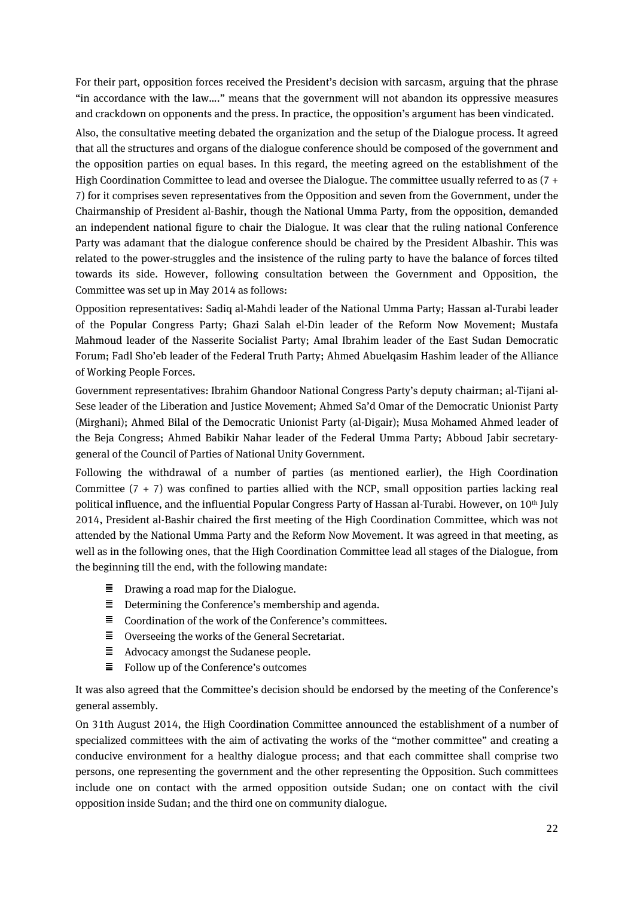For their part, opposition forces received the President's decision with sarcasm, arguing that the phrase "in accordance with the law…." means that the government will not abandon its oppressive measures and crackdown on opponents and the press. In practice, the opposition's argument has been vindicated.

Also, the consultative meeting debated the organization and the setup of the Dialogue process. It agreed that all the structures and organs of the dialogue conference should be composed of the government and the opposition parties on equal bases. In this regard, the meeting agreed on the establishment of the High Coordination Committee to lead and oversee the Dialogue. The committee usually referred to as  $(7 +$ 7) for it comprises seven representatives from the Opposition and seven from the Government, under the Chairmanship of President al-Bashir, though the National Umma Party, from the opposition, demanded an independent national figure to chair the Dialogue. It was clear that the ruling national Conference Party was adamant that the dialogue conference should be chaired by the President Albashir. This was related to the power-struggles and the insistence of the ruling party to have the balance of forces tilted towards its side. However, following consultation between the Government and Opposition, the Committee was set up in May 2014 as follows:

Opposition representatives: Sadiq al-Mahdi leader of the National Umma Party; Hassan al-Turabi leader of the Popular Congress Party; Ghazi Salah el-Din leader of the Reform Now Movement; Mustafa Mahmoud leader of the Nasserite Socialist Party; Amal Ibrahim leader of the East Sudan Democratic Forum; Fadl Sho'eb leader of the Federal Truth Party; Ahmed Abuelqasim Hashim leader of the Alliance of Working People Forces.

Government representatives: Ibrahim Ghandoor National Congress Party's deputy chairman; al-Tijani al-Sese leader of the Liberation and Justice Movement; Ahmed Sa'd Omar of the Democratic Unionist Party (Mirghani); Ahmed Bilal of the Democratic Unionist Party (al-Digair); Musa Mohamed Ahmed leader of the Beja Congress; Ahmed Babikir Nahar leader of the Federal Umma Party; Abboud Jabir secretarygeneral of the Council of Parties of National Unity Government.

Following the withdrawal of a number of parties (as mentioned earlier), the High Coordination Committee  $(7 + 7)$  was confined to parties allied with the NCP, small opposition parties lacking real political influence, and the influential Popular Congress Party of Hassan al-Turabi. However, on 10<sup>th</sup> July 2014, President al-Bashir chaired the first meeting of the High Coordination Committee, which was not attended by the National Umma Party and the Reform Now Movement. It was agreed in that meeting, as well as in the following ones, that the High Coordination Committee lead all stages of the Dialogue, from the beginning till the end, with the following mandate:

- $\equiv$  Drawing a road map for the Dialogue.
- $\equiv$  Determining the Conference's membership and agenda.
- $\equiv$  Coordination of the work of the Conference's committees.
- $\equiv$  Overseeing the works of the General Secretariat.
- $\equiv$  Advocacy amongst the Sudanese people.
- $\equiv$  Follow up of the Conference's outcomes

It was also agreed that the Committee's decision should be endorsed by the meeting of the Conference's general assembly.

On 31th August 2014, the High Coordination Committee announced the establishment of a number of specialized committees with the aim of activating the works of the "mother committee" and creating a conducive environment for a healthy dialogue process; and that each committee shall comprise two persons, one representing the government and the other representing the Opposition. Such committees include one on contact with the armed opposition outside Sudan; one on contact with the civil opposition inside Sudan; and the third one on community dialogue.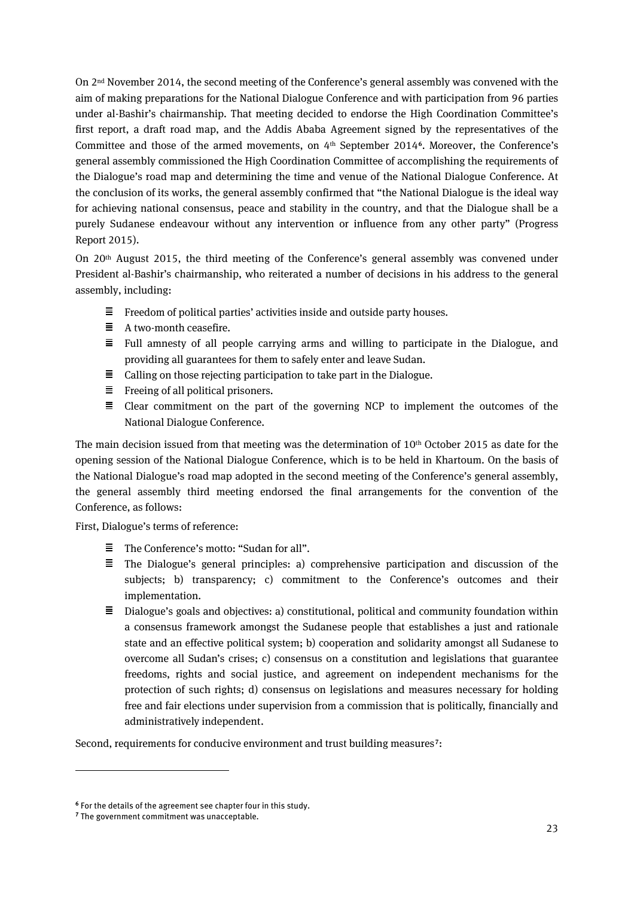On 2nd November 2014, the second meeting of the Conference's general assembly was convened with the aim of making preparations for the National Dialogue Conference and with participation from 96 parties under al-Bashir's chairmanship. That meeting decided to endorse the High Coordination Committee's first report, a draft road map, and the Addis Ababa Agreement signed by the representatives of the Committee and those of the armed movements, on 4th September 2014**[6](#page-20-0)**. Moreover, the Conference's general assembly commissioned the High Coordination Committee of accomplishing the requirements of the Dialogue's road map and determining the time and venue of the National Dialogue Conference. At the conclusion of its works, the general assembly confirmed that "the National Dialogue is the ideal way for achieving national consensus, peace and stability in the country, and that the Dialogue shall be a purely Sudanese endeavour without any intervention or influence from any other party" (Progress Report 2015).

On 20th August 2015, the third meeting of the Conference's general assembly was convened under President al-Bashir's chairmanship, who reiterated a number of decisions in his address to the general assembly, including:

- $\equiv$  Freedom of political parties' activities inside and outside party houses.
- $\equiv$  A two-month ceasefire.
- $\equiv$  Full amnesty of all people carrying arms and willing to participate in the Dialogue, and providing all guarantees for them to safely enter and leave Sudan.
- $\equiv$  Calling on those rejecting participation to take part in the Dialogue.
- $\equiv$  Freeing of all political prisoners.
- $\equiv$  Clear commitment on the part of the governing NCP to implement the outcomes of the National Dialogue Conference.

The main decision issued from that meeting was the determination of  $10<sup>th</sup>$  October 2015 as date for the opening session of the National Dialogue Conference, which is to be held in Khartoum. On the basis of the National Dialogue's road map adopted in the second meeting of the Conference's general assembly, the general assembly third meeting endorsed the final arrangements for the convention of the Conference, as follows:

First, Dialogue's terms of reference:

- The Conference's motto: "Sudan for all".
- $\equiv$  The Dialogue's general principles: a) comprehensive participation and discussion of the subjects; b) transparency; c) commitment to the Conference's outcomes and their implementation.
- $\equiv$  Dialogue's goals and objectives: a) constitutional, political and community foundation within a consensus framework amongst the Sudanese people that establishes a just and rationale state and an effective political system; b) cooperation and solidarity amongst all Sudanese to overcome all Sudan's crises; c) consensus on a constitution and legislations that guarantee freedoms, rights and social justice, and agreement on independent mechanisms for the protection of such rights; d) consensus on legislations and measures necessary for holding free and fair elections under supervision from a commission that is politically, financially and administratively independent.

Second, requirements for conducive environment and trust building measures**[7](#page-20-1)**:

 $\overline{a}$ 

<span id="page-20-0"></span>**<sup>6</sup>** For the details of the agreement see chapter four in this study.

<span id="page-20-1"></span>**<sup>7</sup>** The government commitment was unacceptable.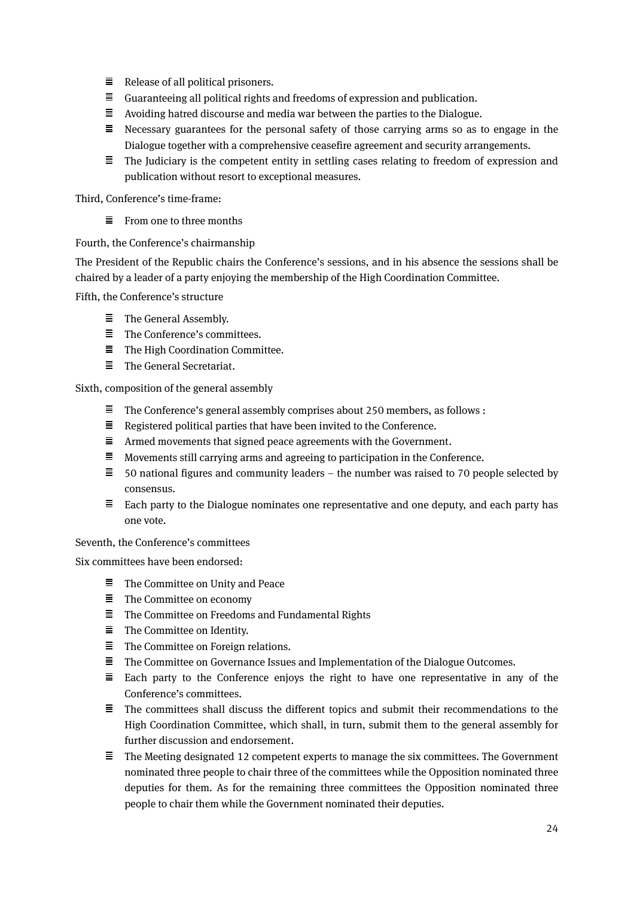- $\equiv$  Release of all political prisoners.
- $\equiv$  Guaranteeing all political rights and freedoms of expression and publication.
- $\equiv$  Avoiding hatred discourse and media war between the parties to the Dialogue.
- $\equiv$  Necessary guarantees for the personal safety of those carrying arms so as to engage in the Dialogue together with a comprehensive ceasefire agreement and security arrangements.
- $\equiv$  The Judiciary is the competent entity in settling cases relating to freedom of expression and publication without resort to exceptional measures.

Third, Conference's time-frame:

 $\equiv$  From one to three months

#### Fourth, the Conference's chairmanship

The President of the Republic chairs the Conference's sessions, and in his absence the sessions shall be chaired by a leader of a party enjoying the membership of the High Coordination Committee.

Fifth, the Conference's structure

- $\equiv$  The General Assembly.
- $\equiv$  The Conference's committees.
- $\equiv$  The High Coordination Committee.
- $\equiv$  The General Secretariat.

Sixth, composition of the general assembly

- $\equiv$ The Conference's general assembly comprises about 250 members, as follows :
- $\equiv$  Registered political parties that have been invited to the Conference.
- $\equiv$  Armed movements that signed peace agreements with the Government.
- $\equiv$  Movements still carrying arms and agreeing to participation in the Conference.
- $\equiv$  50 national figures and community leaders the number was raised to 70 people selected by consensus.
- $\equiv$  Each party to the Dialogue nominates one representative and one deputy, and each party has one vote.

Seventh, the Conference's committees

Six committees have been endorsed:

- $\Xi$  . The Committee on Unity and Peace
- $\equiv$  The Committee on economy
- $\equiv$  The Committee on Freedoms and Fundamental Rights
- $\equiv$  The Committee on Identity.
- $\equiv$  The Committee on Foreign relations.
- 目 The Committee on Governance Issues and Implementation of the Dialogue Outcomes.
- 目... Each party to the Conference enjoys the right to have one representative in any of the Conference's committees.
- $\equiv$  The committees shall discuss the different topics and submit their recommendations to the High Coordination Committee, which shall, in turn, submit them to the general assembly for further discussion and endorsement.
- $\equiv$  The Meeting designated 12 competent experts to manage the six committees. The Government nominated three people to chair three of the committees while the Opposition nominated three deputies for them. As for the remaining three committees the Opposition nominated three people to chair them while the Government nominated their deputies.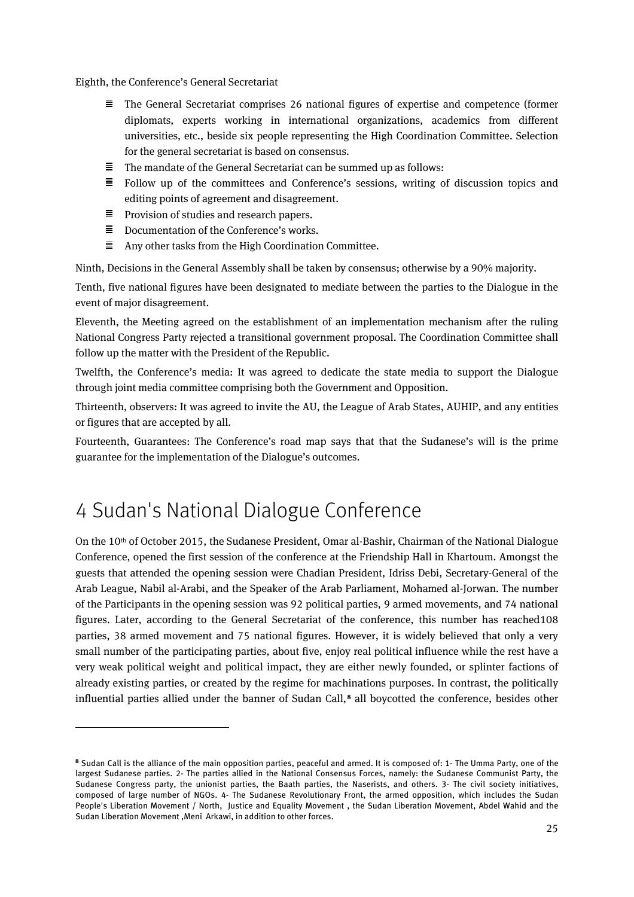Eighth, the Conference's General Secretariat

- $\equiv$ The General Secretariat comprises 26 national figures of expertise and competence (former diplomats, experts working in international organizations, academics from different universities, etc., beside six people representing the High Coordination Committee. Selection for the general secretariat is based on consensus.
- Ξ The mandate of the General Secretariat can be summed up as follows:
- $\equiv$  Follow up of the committees and Conference's sessions, writing of discussion topics and editing points of agreement and disagreement.
- $\equiv$  Provision of studies and research papers.
- $\equiv$  Documentation of the Conference's works.
- Ξ Any other tasks from the High Coordination Committee.

Ninth, Decisions in the General Assembly shall be taken by consensus; otherwise by a 90% majority.

Tenth, five national figures have been designated to mediate between the parties to the Dialogue in the event of major disagreement.

Eleventh, the Meeting agreed on the establishment of an implementation mechanism after the ruling National Congress Party rejected a transitional government proposal. The Coordination Committee shall follow up the matter with the President of the Republic.

Twelfth, the Conference's media: It was agreed to dedicate the state media to support the Dialogue through joint media committee comprising both the Government and Opposition.

Thirteenth, observers: It was agreed to invite the AU, the League of Arab States, AUHIP, and any entities or figures that are accepted by all.

Fourteenth, Guarantees: The Conference's road map says that that the Sudanese's will is the prime guarantee for the implementation of the Dialogue's outcomes.

# <span id="page-22-0"></span>4 Sudan's National Dialogue Conference

 $\overline{a}$ 

On the 10<sup>th</sup> of October 2015, the Sudanese President, Omar al-Bashir, Chairman of the National Dialogue Conference, opened the first session of the conference at the Friendship Hall in Khartoum. Amongst the guests that attended the opening session were Chadian President, Idriss Debi, Secretary-General of the Arab League, Nabil al-Arabi, and the Speaker of the Arab Parliament, Mohamed al-Jorwan. The number of the Participants in the opening session was 92 political parties, 9 armed movements, and 74 national figures. Later, according to the General Secretariat of the conference, this number has reached108 parties, 38 armed movement and 75 national figures. However, it is widely believed that only a very small number of the participating parties, about five, enjoy real political influence while the rest have a very weak political weight and political impact, they are either newly founded, or splinter factions of already existing parties, or created by the regime for machinations purposes. In contrast, the politically influential parties allied under the banner of Sudan Call,**[8](#page-22-1)** all boycotted the conference, besides other

<span id="page-22-1"></span>**<sup>8</sup>** Sudan Call is the alliance of the main opposition parties, peaceful and armed. It is composed of: 1- The Umma Party, one of the largest Sudanese parties. 2- The parties allied in the National Consensus Forces, namely: the Sudanese Communist Party, the Sudanese Congress party, the unionist parties, the Baath parties, the Naserists, and others. 3- The civil society initiatives, composed of large number of NGOs. 4- The Sudanese Revolutionary Front, the armed opposition, which includes the Sudan People's Liberation Movement / North, Justice and Equality Movement , the Sudan Liberation Movement, Abdel Wahid and the Sudan Liberation Movement ,Meni Arkawi, in addition to other forces.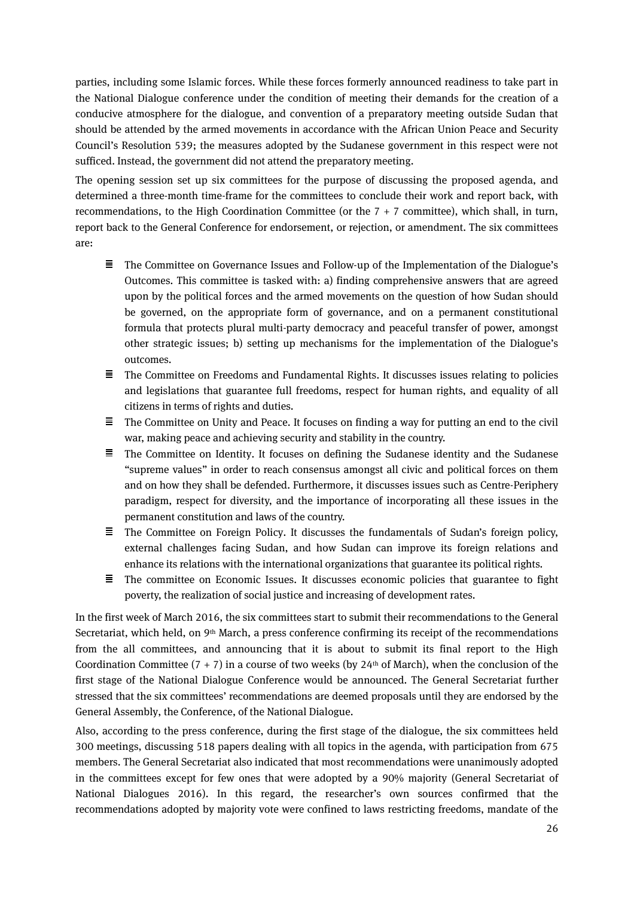parties, including some Islamic forces. While these forces formerly announced readiness to take part in the National Dialogue conference under the condition of meeting their demands for the creation of a conducive atmosphere for the dialogue, and convention of a preparatory meeting outside Sudan that should be attended by the armed movements in accordance with the African Union Peace and Security Council's Resolution 539; the measures adopted by the Sudanese government in this respect were not sufficed. Instead, the government did not attend the preparatory meeting.

The opening session set up six committees for the purpose of discussing the proposed agenda, and determined a three-month time-frame for the committees to conclude their work and report back, with recommendations, to the High Coordination Committee (or the  $7 + 7$  committee), which shall, in turn, report back to the General Conference for endorsement, or rejection, or amendment. The six committees are:

- $\equiv$  The Committee on Governance Issues and Follow-up of the Implementation of the Dialogue's Outcomes. This committee is tasked with: a) finding comprehensive answers that are agreed upon by the political forces and the armed movements on the question of how Sudan should be governed, on the appropriate form of governance, and on a permanent constitutional formula that protects plural multi-party democracy and peaceful transfer of power, amongst other strategic issues; b) setting up mechanisms for the implementation of the Dialogue's outcomes.
- 量。 The Committee on Freedoms and Fundamental Rights. It discusses issues relating to policies and legislations that guarantee full freedoms, respect for human rights, and equality of all citizens in terms of rights and duties.
- $\equiv$  The Committee on Unity and Peace. It focuses on finding a way for putting an end to the civil war, making peace and achieving security and stability in the country.
- 三 The Committee on Identity. It focuses on defining the Sudanese identity and the Sudanese "supreme values" in order to reach consensus amongst all civic and political forces on them and on how they shall be defended. Furthermore, it discusses issues such as Centre-Periphery paradigm, respect for diversity, and the importance of incorporating all these issues in the permanent constitution and laws of the country.
- $\equiv$  The Committee on Foreign Policy. It discusses the fundamentals of Sudan's foreign policy, external challenges facing Sudan, and how Sudan can improve its foreign relations and enhance its relations with the international organizations that guarantee its political rights.
- $\equiv$ The committee on Economic Issues. It discusses economic policies that guarantee to fight poverty, the realization of social justice and increasing of development rates.

In the first week of March 2016, the six committees start to submit their recommendations to the General Secretariat, which held, on 9<sup>th</sup> March, a press conference confirming its receipt of the recommendations from the all committees, and announcing that it is about to submit its final report to the High Coordination Committee  $(7 + 7)$  in a course of two weeks (by 24<sup>th</sup> of March), when the conclusion of the first stage of the National Dialogue Conference would be announced. The General Secretariat further stressed that the six committees' recommendations are deemed proposals until they are endorsed by the General Assembly, the Conference, of the National Dialogue.

Also, according to the press conference, during the first stage of the dialogue, the six committees held 300 meetings, discussing 518 papers dealing with all topics in the agenda, with participation from 675 members. The General Secretariat also indicated that most recommendations were unanimously adopted in the committees except for few ones that were adopted by a 90% majority (General Secretariat of National Dialogues 2016). In this regard, the researcher's own sources confirmed that the recommendations adopted by majority vote were confined to laws restricting freedoms, mandate of the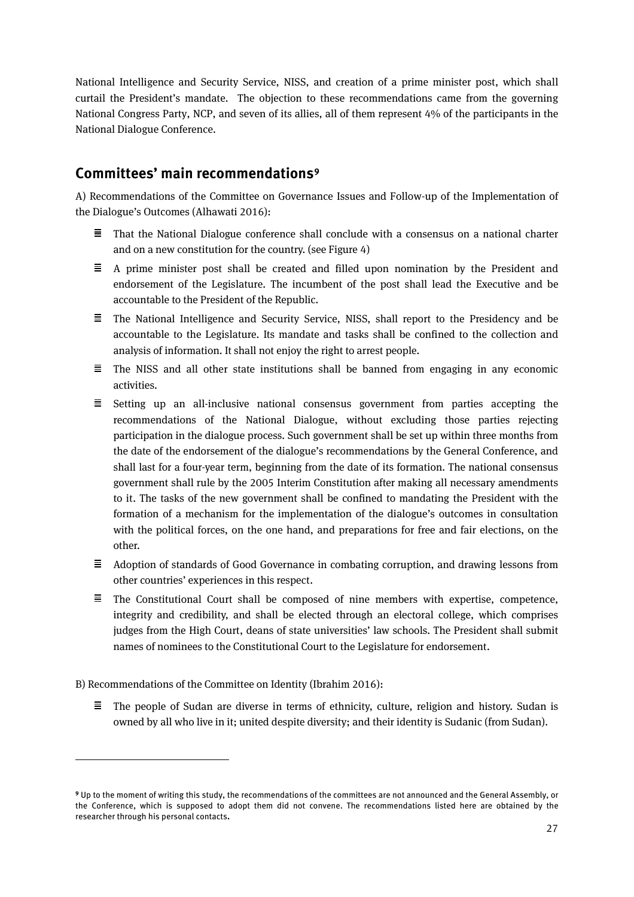National Intelligence and Security Service, NISS, and creation of a prime minister post, which shall curtail the President's mandate. The objection to these recommendations came from the governing National Congress Party, NCP, and seven of its allies, all of them represent 4% of the participants in the National Dialogue Conference.

#### **Committees' main recommendations[9](#page-24-0)**

A) Recommendations of the Committee on Governance Issues and Follow-up of the Implementation of the Dialogue's Outcomes (Alhawati 2016):

- $\equiv$  That the National Dialogue conference shall conclude with a consensus on a national charter and on a new constitution for the country. (see Figure 4)
- $\equiv$  A prime minister post shall be created and filled upon nomination by the President and endorsement of the Legislature. The incumbent of the post shall lead the Executive and be accountable to the President of the Republic.
- $\equiv$  The National Intelligence and Security Service, NISS, shall report to the Presidency and be accountable to the Legislature. Its mandate and tasks shall be confined to the collection and analysis of information. It shall not enjoy the right to arrest people.
- $\equiv$  The NISS and all other state institutions shall be banned from engaging in any economic activities.
- $\equiv$  Setting up an all-inclusive national consensus government from parties accepting the recommendations of the National Dialogue, without excluding those parties rejecting participation in the dialogue process. Such government shall be set up within three months from the date of the endorsement of the dialogue's recommendations by the General Conference, and shall last for a four-year term, beginning from the date of its formation. The national consensus government shall rule by the 2005 Interim Constitution after making all necessary amendments to it. The tasks of the new government shall be confined to mandating the President with the formation of a mechanism for the implementation of the dialogue's outcomes in consultation with the political forces, on the one hand, and preparations for free and fair elections, on the other.
- $\equiv$  Adoption of standards of Good Governance in combating corruption, and drawing lessons from other countries' experiences in this respect.
- $\equiv$  The Constitutional Court shall be composed of nine members with expertise, competence, integrity and credibility, and shall be elected through an electoral college, which comprises judges from the High Court, deans of state universities' law schools. The President shall submit names of nominees to the Constitutional Court to the Legislature for endorsement.

B) Recommendations of the Committee on Identity (Ibrahim 2016):

 $\overline{a}$ 

 $\equiv$  The people of Sudan are diverse in terms of ethnicity, culture, religion and history. Sudan is owned by all who live in it; united despite diversity; and their identity is Sudanic (from Sudan).

<span id="page-24-0"></span>**<sup>9</sup>** Up to the moment of writing this study, the recommendations of the committees are not announced and the General Assembly, or the Conference, which is supposed to adopt them did not convene. The recommendations listed here are obtained by the researcher through his personal contacts**.**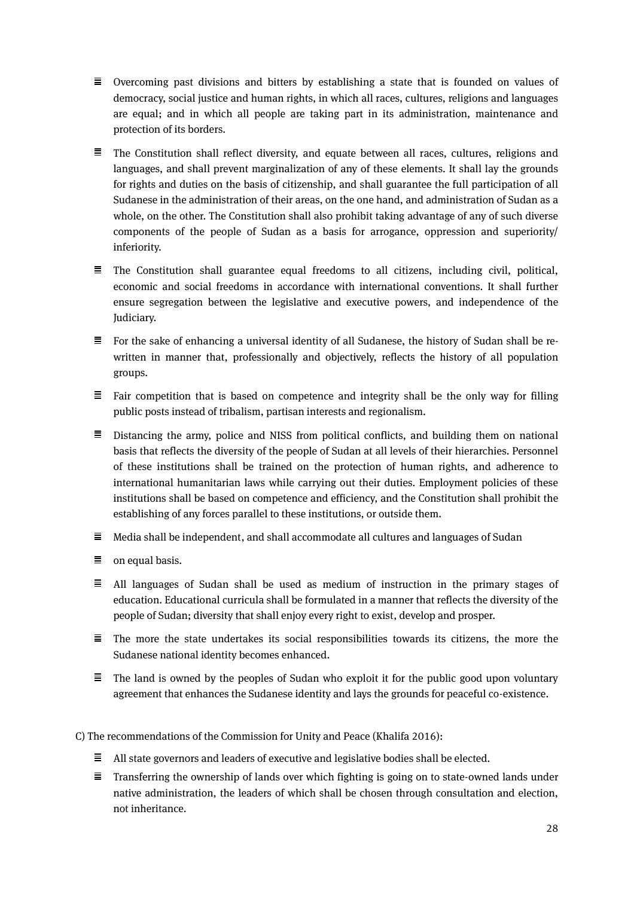- $\equiv$  Overcoming past divisions and bitters by establishing a state that is founded on values of democracy, social justice and human rights, in which all races, cultures, religions and languages are equal; and in which all people are taking part in its administration, maintenance and protection of its borders.
- $\equiv$  The Constitution shall reflect diversity, and equate between all races, cultures, religions and languages, and shall prevent marginalization of any of these elements. It shall lay the grounds for rights and duties on the basis of citizenship, and shall guarantee the full participation of all Sudanese in the administration of their areas, on the one hand, and administration of Sudan as a whole, on the other. The Constitution shall also prohibit taking advantage of any of such diverse components of the people of Sudan as a basis for arrogance, oppression and superiority/ inferiority.
- $\equiv$  The Constitution shall guarantee equal freedoms to all citizens, including civil, political, economic and social freedoms in accordance with international conventions. It shall further ensure segregation between the legislative and executive powers, and independence of the Judiciary.
- $\equiv$  For the sake of enhancing a universal identity of all Sudanese, the history of Sudan shall be rewritten in manner that, professionally and objectively, reflects the history of all population groups.
- $\equiv$  Fair competition that is based on competence and integrity shall be the only way for filling public posts instead of tribalism, partisan interests and regionalism.
- $\equiv$  Distancing the army, police and NISS from political conflicts, and building them on national basis that reflects the diversity of the people of Sudan at all levels of their hierarchies. Personnel of these institutions shall be trained on the protection of human rights, and adherence to international humanitarian laws while carrying out their duties. Employment policies of these institutions shall be based on competence and efficiency, and the Constitution shall prohibit the establishing of any forces parallel to these institutions, or outside them.
- $\equiv$  Media shall be independent, and shall accommodate all cultures and languages of Sudan
- $\equiv$  on equal basis.
- $\equiv$  All languages of Sudan shall be used as medium of instruction in the primary stages of education. Educational curricula shall be formulated in a manner that reflects the diversity of the people of Sudan; diversity that shall enjoy every right to exist, develop and prosper.
- $\equiv$  The more the state undertakes its social responsibilities towards its citizens, the more the Sudanese national identity becomes enhanced.
- $\equiv$  The land is owned by the peoples of Sudan who exploit it for the public good upon voluntary agreement that enhances the Sudanese identity and lays the grounds for peaceful co-existence.

C) The recommendations of the Commission for Unity and Peace (Khalifa 2016):

- $\equiv$  All state governors and leaders of executive and legislative bodies shall be elected.
- $\equiv$  Transferring the ownership of lands over which fighting is going on to state-owned lands under native administration, the leaders of which shall be chosen through consultation and election, not inheritance.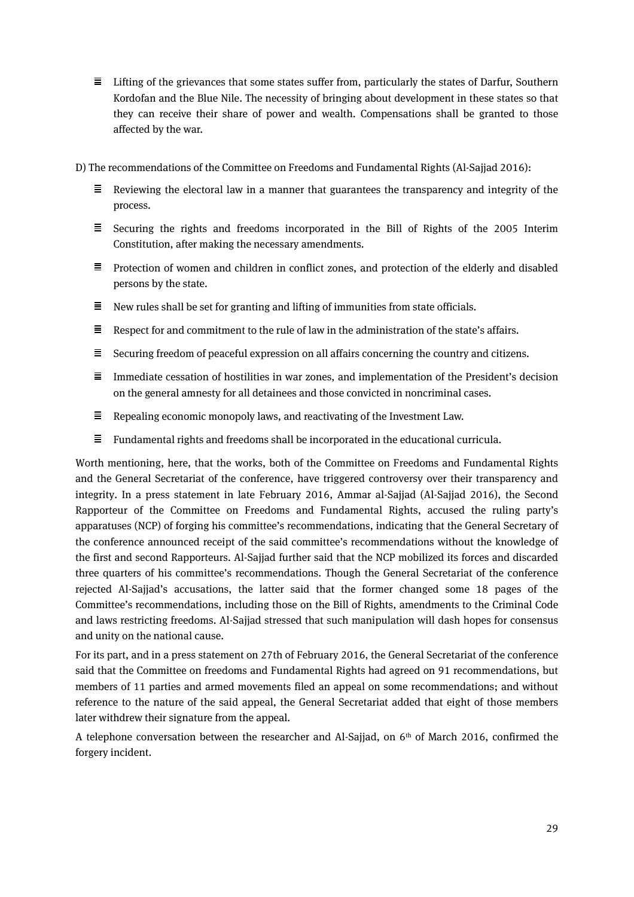- $\equiv$  Lifting of the grievances that some states suffer from, particularly the states of Darfur, Southern Kordofan and the Blue Nile. The necessity of bringing about development in these states so that they can receive their share of power and wealth. Compensations shall be granted to those affected by the war.
- D) The recommendations of the Committee on Freedoms and Fundamental Rights (Al-Sajjad 2016):
	- $\equiv$  Reviewing the electoral law in a manner that guarantees the transparency and integrity of the process.
	- $\equiv$  Securing the rights and freedoms incorporated in the Bill of Rights of the 2005 Interim Constitution, after making the necessary amendments.
	- $\equiv$  Protection of women and children in conflict zones, and protection of the elderly and disabled persons by the state.
	- $\equiv$  New rules shall be set for granting and lifting of immunities from state officials.
	- $\Xi$  Respect for and commitment to the rule of law in the administration of the state's affairs.
	- $\equiv$  Securing freedom of peaceful expression on all affairs concerning the country and citizens.
	- $\equiv$  Immediate cessation of hostilities in war zones, and implementation of the President's decision on the general amnesty for all detainees and those convicted in noncriminal cases.
	- 目。 Repealing economic monopoly laws, and reactivating of the Investment Law.
	- $\equiv$ Fundamental rights and freedoms shall be incorporated in the educational curricula.

Worth mentioning, here, that the works, both of the Committee on Freedoms and Fundamental Rights and the General Secretariat of the conference, have triggered controversy over their transparency and integrity. In a press statement in late February 2016, Ammar al-Sajjad (Al-Sajjad 2016), the Second Rapporteur of the Committee on Freedoms and Fundamental Rights, accused the ruling party's apparatuses (NCP) of forging his committee's recommendations, indicating that the General Secretary of the conference announced receipt of the said committee's recommendations without the knowledge of the first and second Rapporteurs. Al-Sajjad further said that the NCP mobilized its forces and discarded three quarters of his committee's recommendations. Though the General Secretariat of the conference rejected Al-Sajjad's accusations, the latter said that the former changed some 18 pages of the Committee's recommendations, including those on the Bill of Rights, amendments to the Criminal Code and laws restricting freedoms. Al-Sajjad stressed that such manipulation will dash hopes for consensus and unity on the national cause.

For its part, and in a press statement on 27th of February 2016, the General Secretariat of the conference said that the Committee on freedoms and Fundamental Rights had agreed on 91 recommendations, but members of 11 parties and armed movements filed an appeal on some recommendations; and without reference to the nature of the said appeal, the General Secretariat added that eight of those members later withdrew their signature from the appeal.

A telephone conversation between the researcher and Al-Sajjad, on  $6<sup>th</sup>$  of March 2016, confirmed the forgery incident.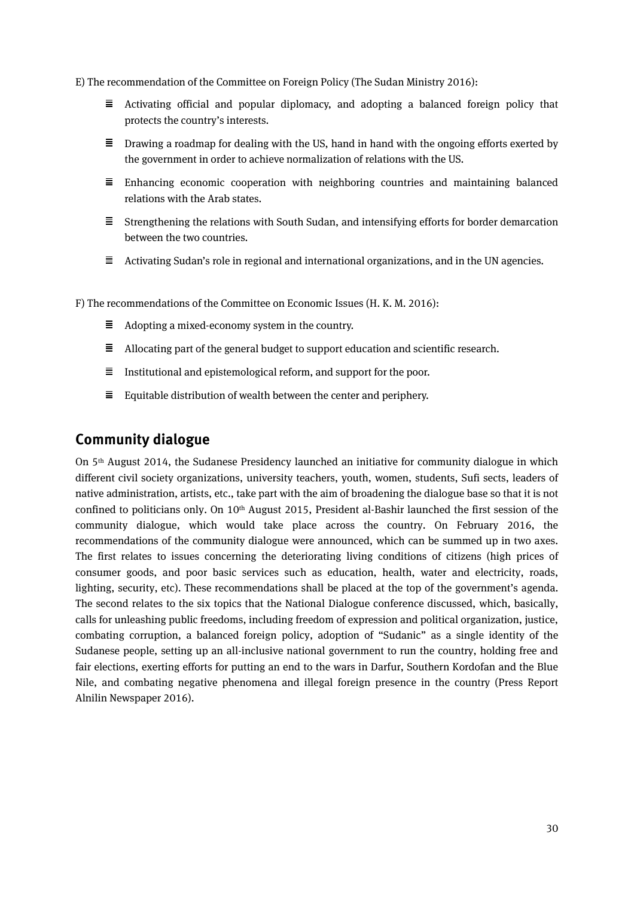E) The recommendation of the Committee on Foreign Policy (The Sudan Ministry 2016):

- $\equiv$ Activating official and popular diplomacy, and adopting a balanced foreign policy that protects the country's interests.
- $\equiv$  Drawing a roadmap for dealing with the US, hand in hand with the ongoing efforts exerted by the government in order to achieve normalization of relations with the US.
- $\equiv$  Enhancing economic cooperation with neighboring countries and maintaining balanced relations with the Arab states.
- $\equiv$  Strengthening the relations with South Sudan, and intensifying efforts for border demarcation between the two countries.
- $\equiv$ Activating Sudan's role in regional and international organizations, and in the UN agencies.

F) The recommendations of the Committee on Economic Issues (H. K. M. 2016):

- $\equiv$  Adopting a mixed-economy system in the country.
- $\equiv$  Allocating part of the general budget to support education and scientific research.
- $\equiv$  Institutional and epistemological reform, and support for the poor.
- $\equiv$  Equitable distribution of wealth between the center and periphery.

#### **Community dialogue**

On 5th August 2014, the Sudanese Presidency launched an initiative for community dialogue in which different civil society organizations, university teachers, youth, women, students, Sufi sects, leaders of native administration, artists, etc., take part with the aim of broadening the dialogue base so that it is not confined to politicians only. On 10<sup>th</sup> August 2015, President al-Bashir launched the first session of the community dialogue, which would take place across the country. On February 2016, the recommendations of the community dialogue were announced, which can be summed up in two axes. The first relates to issues concerning the deteriorating living conditions of citizens (high prices of consumer goods, and poor basic services such as education, health, water and electricity, roads, lighting, security, etc). These recommendations shall be placed at the top of the government's agenda. The second relates to the six topics that the National Dialogue conference discussed, which, basically, calls for unleashing public freedoms, including freedom of expression and political organization, justice, combating corruption, a balanced foreign policy, adoption of "Sudanic" as a single identity of the Sudanese people, setting up an all-inclusive national government to run the country, holding free and fair elections, exerting efforts for putting an end to the wars in Darfur, Southern Kordofan and the Blue Nile, and combating negative phenomena and illegal foreign presence in the country (Press Report Alnilin Newspaper 2016).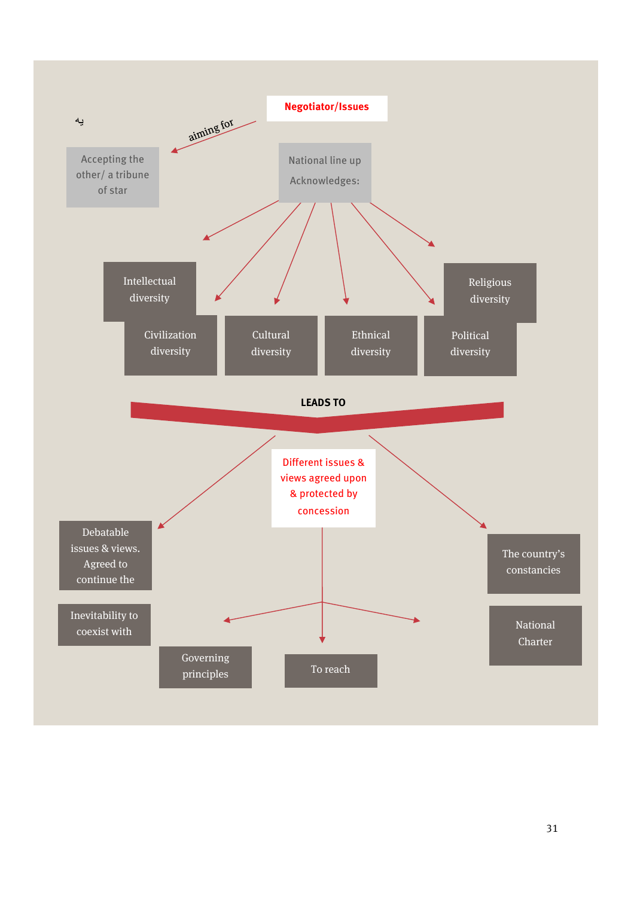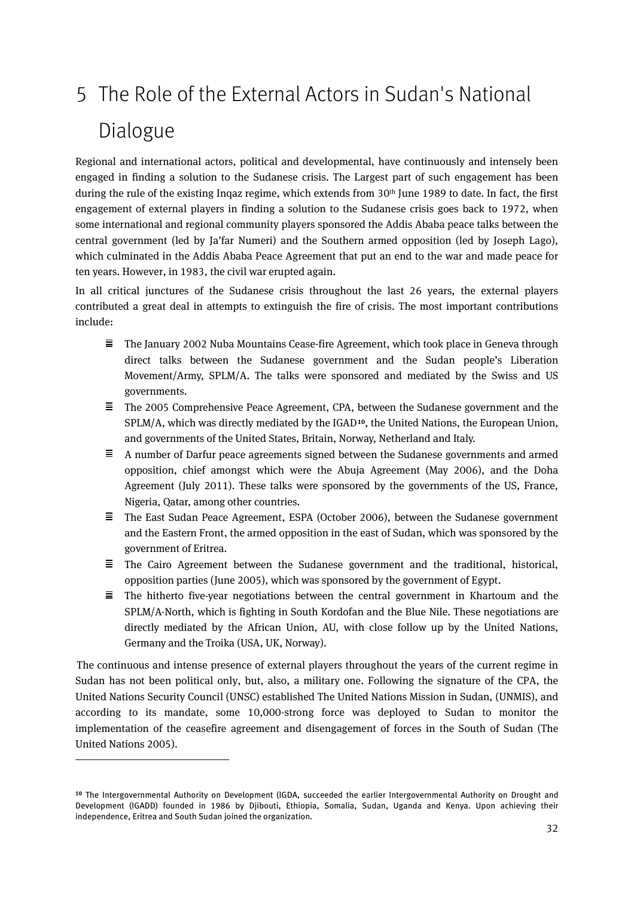# <span id="page-29-0"></span>5 The Role of the External Actors in Sudan's National Dialogue

Regional and international actors, political and developmental, have continuously and intensely been engaged in finding a solution to the Sudanese crisis. The Largest part of such engagement has been during the rule of the existing Inqaz regime, which extends from 30<sup>th</sup> June 1989 to date. In fact, the first engagement of external players in finding a solution to the Sudanese crisis goes back to 1972, when some international and regional community players sponsored the Addis Ababa peace talks between the central government (led by Ja'far Numeri) and the Southern armed opposition (led by Joseph Lago), which culminated in the Addis Ababa Peace Agreement that put an end to the war and made peace for ten years. However, in 1983, the civil war erupted again.

In all critical junctures of the Sudanese crisis throughout the last 26 years, the external players contributed a great deal in attempts to extinguish the fire of crisis. The most important contributions include:

- $\equiv$ The January 2002 Nuba Mountains Cease-fire Agreement, which took place in Geneva through direct talks between the Sudanese government and the Sudan people's Liberation Movement/Army, SPLM/A. The talks were sponsored and mediated by the Swiss and US governments.
- 三 The 2005 Comprehensive Peace Agreement, CPA, between the Sudanese government and the SPLM/A, which was directly mediated by the IGAD**[10](#page-29-1)**, the United Nations, the European Union, and governments of the United States, Britain, Norway, Netherland and Italy.
- $\equiv$  A number of Darfur peace agreements signed between the Sudanese governments and armed opposition, chief amongst which were the Abuja Agreement (May 2006), and the Doha Agreement (July 2011). These talks were sponsored by the governments of the US, France, Nigeria, Qatar, among other countries.
- $\equiv$ The East Sudan Peace Agreement, ESPA (October 2006), between the Sudanese government and the Eastern Front, the armed opposition in the east of Sudan, which was sponsored by the government of Eritrea.
- $\equiv$  The Cairo Agreement between the Sudanese government and the traditional, historical, opposition parties (June 2005), which was sponsored by the government of Egypt.
- $\equiv$  The hitherto five-year negotiations between the central government in Khartoum and the SPLM/A-North, which is fighting in South Kordofan and the Blue Nile. These negotiations are directly mediated by the African Union, AU, with close follow up by the United Nations, Germany and the Troika (USA, UK, Norway).

The continuous and intense presence of external players throughout the years of the current regime in Sudan has not been political only, but, also, a military one. Following the signature of the CPA, the United Nations Security Council (UNSC) established The United Nations Mission in Sudan, (UNMIS), and according to its mandate, some 10,000-strong force was deployed to Sudan to monitor the implementation of the ceasefire agreement and disengagement of forces in the South of Sudan (The United Nations 2005).

 $\overline{a}$ 

<span id="page-29-1"></span>**<sup>10</sup>** The Intergovernmental Authority on Development (IGDA, succeeded the earlier Intergovernmental Authority on Drought and Development (IGADD) founded in 1986 by Djibouti, Ethiopia, Somalia, Sudan, Uganda and Kenya. Upon achieving their independence, Eritrea and South Sudan joined the organization.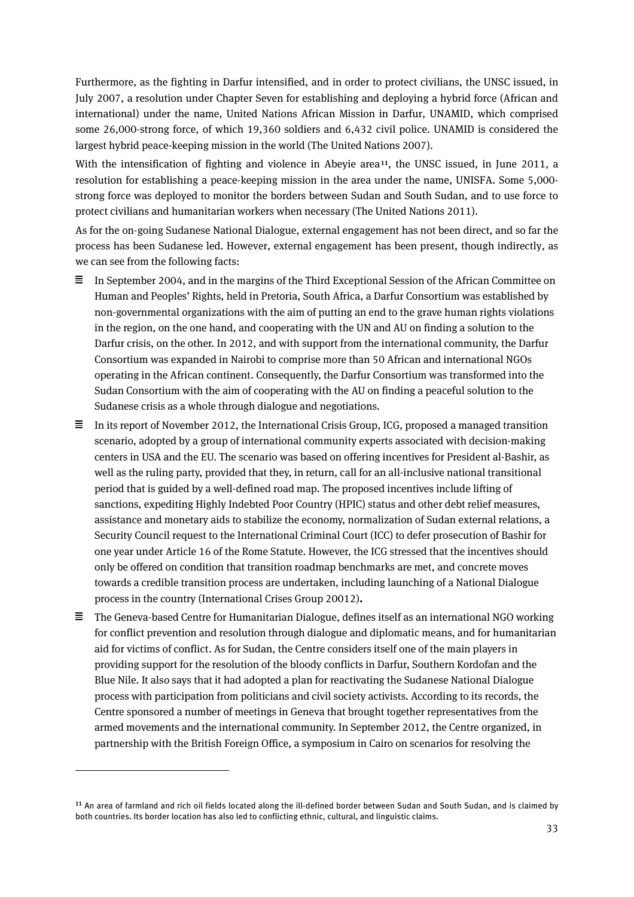Furthermore, as the fighting in Darfur intensified, and in order to protect civilians, the UNSC issued, in July 2007, a resolution under Chapter Seven for establishing and deploying a hybrid force (African and international) under the name, United Nations African Mission in Darfur, UNAMID, which comprised some 26,000-strong force, of which 19,360 soldiers and 6,432 civil police. UNAMID is considered the largest hybrid peace-keeping mission in the world (The United Nations 2007).

With the intensification of fighting and violence in Abeyie area**[11](#page-30-0)**, the UNSC issued, in June 2011, a resolution for establishing a peace-keeping mission in the area under the name, UNISFA. Some 5,000 strong force was deployed to monitor the borders between Sudan and South Sudan, and to use force to protect civilians and humanitarian workers when necessary (The United Nations 2011).

As for the on-going Sudanese National Dialogue, external engagement has not been direct, and so far the process has been Sudanese led. However, external engagement has been present, though indirectly, as we can see from the following facts:

- $\equiv$  In September 2004, and in the margins of the Third Exceptional Session of the African Committee on Human and Peoples' Rights, held in Pretoria, South Africa, a Darfur Consortium was established by non-governmental organizations with the aim of putting an end to the grave human rights violations in the region, on the one hand, and cooperating with the UN and AU on finding a solution to the Darfur crisis, on the other. In 2012, and with support from the international community, the Darfur Consortium was expanded in Nairobi to comprise more than 50 African and international NGOs operating in the African continent. Consequently, the Darfur Consortium was transformed into the Sudan Consortium with the aim of cooperating with the AU on finding a peaceful solution to the Sudanese crisis as a whole through dialogue and negotiations.
- $\equiv$  In its report of November 2012, the International Crisis Group, ICG, proposed a managed transition scenario, adopted by a group of international community experts associated with decision-making centers in USA and the EU. The scenario was based on offering incentives for President al-Bashir, as well as the ruling party, provided that they, in return, call for an all-inclusive national transitional period that is guided by a well-defined road map. The proposed incentives include lifting of sanctions, expediting Highly Indebted Poor Country (HPIC) status and other debt relief measures, assistance and monetary aids to stabilize the economy, normalization of Sudan external relations, a Security Council request to the International Criminal Court (ICC) to defer prosecution of Bashir for one year under Article 16 of the Rome Statute. However, the ICG stressed that the incentives should only be offered on condition that transition roadmap benchmarks are met, and concrete moves towards a credible transition process are undertaken, including launching of a National Dialogue process in the country (International Crises Group 20012)**.**
- $\equiv$  The Geneva-based Centre for Humanitarian Dialogue, defines itself as an international NGO working for conflict prevention and resolution through dialogue and diplomatic means, and for humanitarian aid for victims of conflict. As for Sudan, the Centre considers itself one of the main players in providing support for the resolution of the bloody conflicts in Darfur, Southern Kordofan and the Blue Nile. It also says that it had adopted a plan for reactivating the Sudanese National Dialogue process with participation from politicians and civil society activists. According to its records, the Centre sponsored a number of meetings in Geneva that brought together representatives from the armed movements and the international community. In September 2012, the Centre organized, in partnership with the British Foreign Office, a symposium in Cairo on scenarios for resolving the

 $\overline{a}$ 

<span id="page-30-0"></span>**<sup>11</sup>** An area of farmland and rich oil fields located along the ill-defined border between Sudan and South Sudan, and is claimed by both countries. Its border location has also led to conflicting ethnic, cultural, and linguistic claims.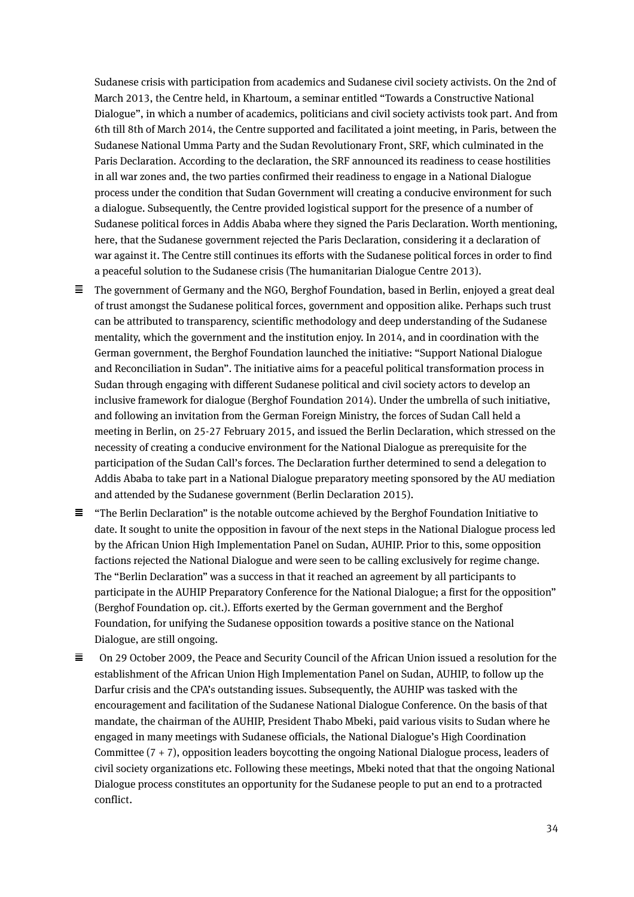Sudanese crisis with participation from academics and Sudanese civil society activists. On the 2nd of March 2013, the Centre held, in Khartoum, a seminar entitled "Towards a Constructive National Dialogue", in which a number of academics, politicians and civil society activists took part. And from 6th till 8th of March 2014, the Centre supported and facilitated a joint meeting, in Paris, between the Sudanese National Umma Party and the Sudan Revolutionary Front, SRF, which culminated in the Paris Declaration. According to the declaration, the SRF announced its readiness to cease hostilities in all war zones and, the two parties confirmed their readiness to engage in a National Dialogue process under the condition that Sudan Government will creating a conducive environment for such a dialogue. Subsequently, the Centre provided logistical support for the presence of a number of Sudanese political forces in Addis Ababa where they signed the Paris Declaration. Worth mentioning, here, that the Sudanese government rejected the Paris Declaration, considering it a declaration of war against it. The Centre still continues its efforts with the Sudanese political forces in order to find a peaceful solution to the Sudanese crisis (The humanitarian Dialogue Centre 2013).

- $\equiv$  The government of Germany and the NGO, Berghof Foundation, based in Berlin, enjoyed a great deal of trust amongst the Sudanese political forces, government and opposition alike. Perhaps such trust can be attributed to transparency, scientific methodology and deep understanding of the Sudanese mentality, which the government and the institution enjoy. In 2014, and in coordination with the German government, the Berghof Foundation launched the initiative: "Support National Dialogue and Reconciliation in Sudan". The initiative aims for a peaceful political transformation process in Sudan through engaging with different Sudanese political and civil society actors to develop an inclusive framework for dialogue (Berghof Foundation 2014). Under the umbrella of such initiative, and following an invitation from the German Foreign Ministry, the forces of Sudan Call held a meeting in Berlin, on 25-27 February 2015, and issued the Berlin Declaration, which stressed on the necessity of creating a conducive environment for the National Dialogue as prerequisite for the participation of the Sudan Call's forces. The Declaration further determined to send a delegation to Addis Ababa to take part in a National Dialogue preparatory meeting sponsored by the AU mediation and attended by the Sudanese government (Berlin Declaration 2015).
- $\equiv$  "The Berlin Declaration" is the notable outcome achieved by the Berghof Foundation Initiative to date. It sought to unite the opposition in favour of the next steps in the National Dialogue process led by the African Union High Implementation Panel on Sudan, AUHIP. Prior to this, some opposition factions rejected the National Dialogue and were seen to be calling exclusively for regime change. The "Berlin Declaration" was a success in that it reached an agreement by all participants to participate in the AUHIP Preparatory Conference for the National Dialogue; a first for the opposition" (Berghof Foundation op. cit.). Efforts exerted by the German government and the Berghof Foundation, for unifying the Sudanese opposition towards a positive stance on the National Dialogue, are still ongoing.
- $\equiv$  On 29 October 2009, the Peace and Security Council of the African Union issued a resolution for the establishment of the African Union High Implementation Panel on Sudan, AUHIP, to follow up the Darfur crisis and the CPA's outstanding issues. Subsequently, the AUHIP was tasked with the encouragement and facilitation of the Sudanese National Dialogue Conference. On the basis of that mandate, the chairman of the AUHIP, President Thabo Mbeki, paid various visits to Sudan where he engaged in many meetings with Sudanese officials, the National Dialogue's High Coordination Committee  $(7 + 7)$ , opposition leaders boycotting the ongoing National Dialogue process, leaders of civil society organizations etc. Following these meetings, Mbeki noted that that the ongoing National Dialogue process constitutes an opportunity for the Sudanese people to put an end to a protracted conflict.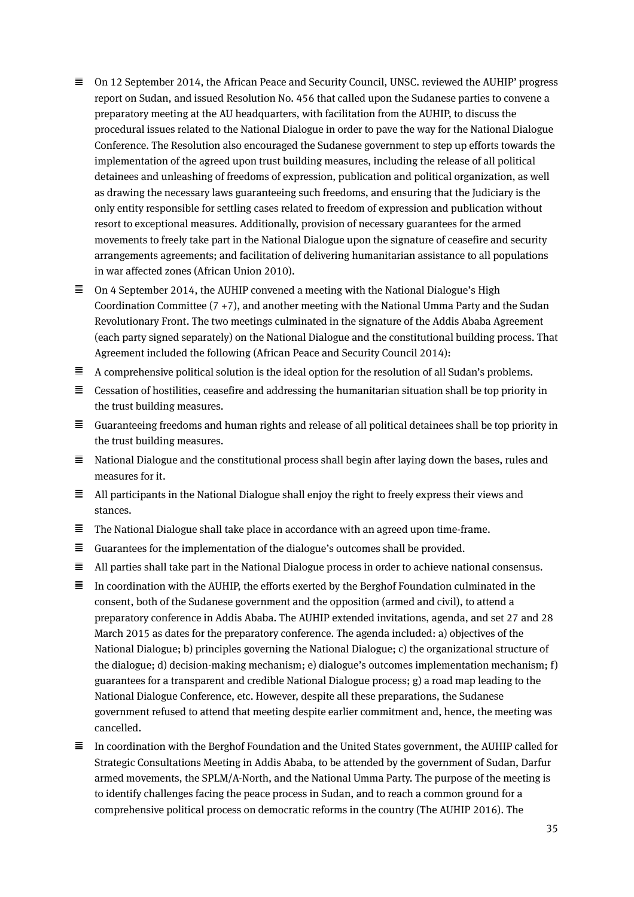- $\equiv$  On 12 September 2014, the African Peace and Security Council, UNSC. reviewed the AUHIP' progress report on Sudan, and issued Resolution No. 456 that called upon the Sudanese parties to convene a preparatory meeting at the AU headquarters, with facilitation from the AUHIP, to discuss the procedural issues related to the National Dialogue in order to pave the way for the National Dialogue Conference. The Resolution also encouraged the Sudanese government to step up efforts towards the implementation of the agreed upon trust building measures, including the release of all political detainees and unleashing of freedoms of expression, publication and political organization, as well as drawing the necessary laws guaranteeing such freedoms, and ensuring that the Judiciary is the only entity responsible for settling cases related to freedom of expression and publication without resort to exceptional measures. Additionally, provision of necessary guarantees for the armed movements to freely take part in the National Dialogue upon the signature of ceasefire and security arrangements agreements; and facilitation of delivering humanitarian assistance to all populations in war affected zones (African Union 2010).
- $\equiv$  On 4 September 2014, the AUHIP convened a meeting with the National Dialogue's High Coordination Committee  $(7 + 7)$ , and another meeting with the National Umma Party and the Sudan Revolutionary Front. The two meetings culminated in the signature of the Addis Ababa Agreement (each party signed separately) on the National Dialogue and the constitutional building process. That Agreement included the following (African Peace and Security Council 2014):
- $\equiv$  A comprehensive political solution is the ideal option for the resolution of all Sudan's problems.
- $\equiv$  Cessation of hostilities, ceasefire and addressing the humanitarian situation shall be top priority in the trust building measures.
- $\equiv$  Guaranteeing freedoms and human rights and release of all political detainees shall be top priority in the trust building measures.
- $\equiv$  National Dialogue and the constitutional process shall begin after laying down the bases, rules and measures for it.
- $\equiv$  All participants in the National Dialogue shall enjoy the right to freely express their views and stances.
- $\equiv$  The National Dialogue shall take place in accordance with an agreed upon time-frame.
- $\equiv$  Guarantees for the implementation of the dialogue's outcomes shall be provided.
- $\equiv$ All parties shall take part in the National Dialogue process in order to achieve national consensus.
- $\equiv$  In coordination with the AUHIP, the efforts exerted by the Berghof Foundation culminated in the consent, both of the Sudanese government and the opposition (armed and civil), to attend a preparatory conference in Addis Ababa. The AUHIP extended invitations, agenda, and set 27 and 28 March 2015 as dates for the preparatory conference. The agenda included: a) objectives of the National Dialogue; b) principles governing the National Dialogue; c) the organizational structure of the dialogue; d) decision-making mechanism; e) dialogue's outcomes implementation mechanism; f) guarantees for a transparent and credible National Dialogue process; g) a road map leading to the National Dialogue Conference, etc. However, despite all these preparations, the Sudanese government refused to attend that meeting despite earlier commitment and, hence, the meeting was cancelled.
- $\equiv$  In coordination with the Berghof Foundation and the United States government, the AUHIP called for Strategic Consultations Meeting in Addis Ababa, to be attended by the government of Sudan, Darfur armed movements, the SPLM/A-North, and the National Umma Party. The purpose of the meeting is to identify challenges facing the peace process in Sudan, and to reach a common ground for a comprehensive political process on democratic reforms in the country (The AUHIP 2016). The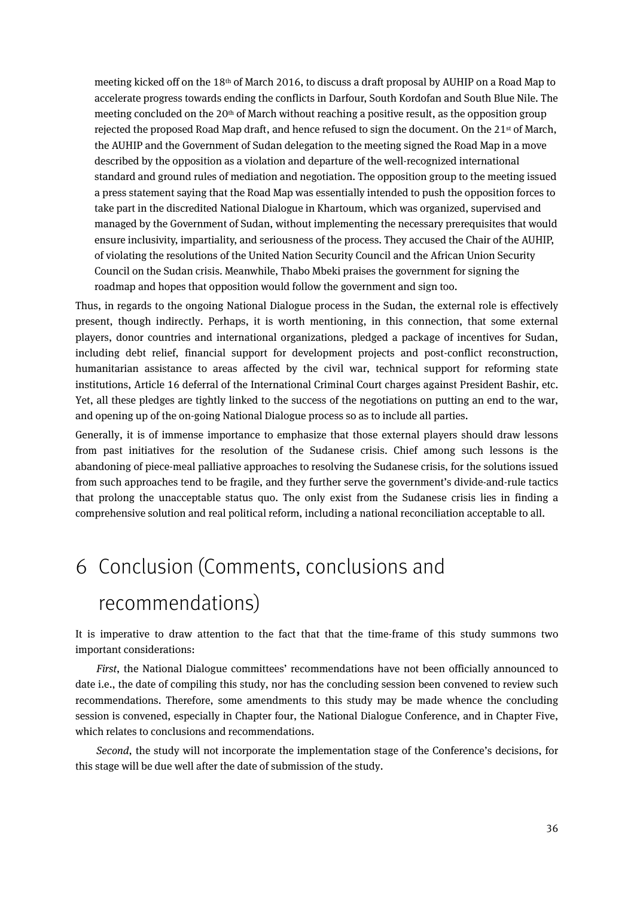meeting kicked off on the 18th of March 2016, to discuss a draft proposal by AUHIP on a Road Map to accelerate progress towards ending the conflicts in Darfour, South Kordofan and South Blue Nile. The meeting concluded on the 20th of March without reaching a positive result, as the opposition group rejected the proposed Road Map draft, and hence refused to sign the document. On the 21<sup>st</sup> of March, the AUHIP and the Government of Sudan delegation to the meeting signed the Road Map in a move described by the opposition as a violation and departure of the well-recognized international standard and ground rules of mediation and negotiation. The opposition group to the meeting issued a press statement saying that the Road Map was essentially intended to push the opposition forces to take part in the discredited National Dialogue in Khartoum, which was organized, supervised and managed by the Government of Sudan, without implementing the necessary prerequisites that would ensure inclusivity, impartiality, and seriousness of the process. They accused the Chair of the AUHIP, of violating the resolutions of the United Nation Security Council and the African Union Security Council on the Sudan crisis. Meanwhile, Thabo Mbeki praises the government for signing the roadmap and hopes that opposition would follow the government and sign too.

Thus, in regards to the ongoing National Dialogue process in the Sudan, the external role is effectively present, though indirectly. Perhaps, it is worth mentioning, in this connection, that some external players, donor countries and international organizations, pledged a package of incentives for Sudan, including debt relief, financial support for development projects and post-conflict reconstruction, humanitarian assistance to areas affected by the civil war, technical support for reforming state institutions, Article 16 deferral of the International Criminal Court charges against President Bashir, etc. Yet, all these pledges are tightly linked to the success of the negotiations on putting an end to the war, and opening up of the on-going National Dialogue process so as to include all parties.

Generally, it is of immense importance to emphasize that those external players should draw lessons from past initiatives for the resolution of the Sudanese crisis. Chief among such lessons is the abandoning of piece-meal palliative approaches to resolving the Sudanese crisis, for the solutions issued from such approaches tend to be fragile, and they further serve the government's divide-and-rule tactics that prolong the unacceptable status quo. The only exist from the Sudanese crisis lies in finding a comprehensive solution and real political reform, including a national reconciliation acceptable to all.

# <span id="page-33-0"></span>6 Conclusion (Comments, conclusions and

# recommendations)

It is imperative to draw attention to the fact that that the time-frame of this study summons two important considerations:

*First*, the National Dialogue committees' recommendations have not been officially announced to date i.e., the date of compiling this study, nor has the concluding session been convened to review such recommendations. Therefore, some amendments to this study may be made whence the concluding session is convened, especially in Chapter four, the National Dialogue Conference, and in Chapter Five, which relates to conclusions and recommendations.

*Second*, the study will not incorporate the implementation stage of the Conference's decisions, for this stage will be due well after the date of submission of the study.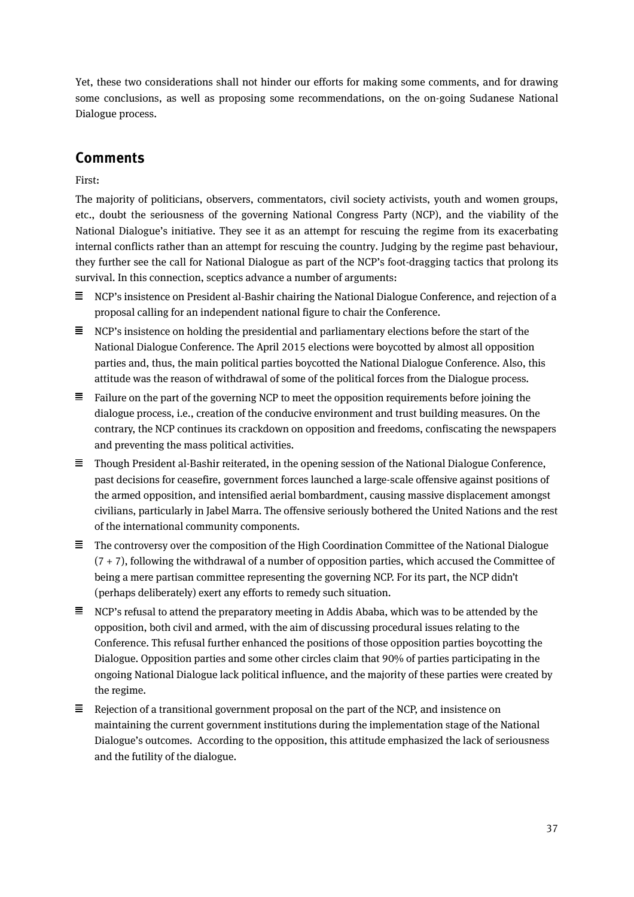Yet, these two considerations shall not hinder our efforts for making some comments, and for drawing some conclusions, as well as proposing some recommendations, on the on-going Sudanese National Dialogue process.

## **Comments**

First:

The majority of politicians, observers, commentators, civil society activists, youth and women groups, etc., doubt the seriousness of the governing National Congress Party (NCP), and the viability of the National Dialogue's initiative. They see it as an attempt for rescuing the regime from its exacerbating internal conflicts rather than an attempt for rescuing the country. Judging by the regime past behaviour, they further see the call for National Dialogue as part of the NCP's foot-dragging tactics that prolong its survival. In this connection, sceptics advance a number of arguments:

- $\Xi$  NCP's insistence on President al-Bashir chairing the National Dialogue Conference, and rejection of a proposal calling for an independent national figure to chair the Conference.
- $\equiv$  NCP's insistence on holding the presidential and parliamentary elections before the start of the National Dialogue Conference. The April 2015 elections were boycotted by almost all opposition parties and, thus, the main political parties boycotted the National Dialogue Conference. Also, this attitude was the reason of withdrawal of some of the political forces from the Dialogue process.
- $\equiv$  Failure on the part of the governing NCP to meet the opposition requirements before joining the dialogue process, i.e., creation of the conducive environment and trust building measures. On the contrary, the NCP continues its crackdown on opposition and freedoms, confiscating the newspapers and preventing the mass political activities.
- $\equiv$  Though President al-Bashir reiterated, in the opening session of the National Dialogue Conference, past decisions for ceasefire, government forces launched a large-scale offensive against positions of the armed opposition, and intensified aerial bombardment, causing massive displacement amongst civilians, particularly in Jabel Marra. The offensive seriously bothered the United Nations and the rest of the international community components.
- $\equiv$  The controversy over the composition of the High Coordination Committee of the National Dialogue  $(7 + 7)$ , following the withdrawal of a number of opposition parties, which accused the Committee of being a mere partisan committee representing the governing NCP. For its part, the NCP didn't (perhaps deliberately) exert any efforts to remedy such situation.
- $\equiv$  NCP's refusal to attend the preparatory meeting in Addis Ababa, which was to be attended by the opposition, both civil and armed, with the aim of discussing procedural issues relating to the Conference. This refusal further enhanced the positions of those opposition parties boycotting the Dialogue. Opposition parties and some other circles claim that 90% of parties participating in the ongoing National Dialogue lack political influence, and the majority of these parties were created by the regime.
- $\Xi$  Rejection of a transitional government proposal on the part of the NCP, and insistence on maintaining the current government institutions during the implementation stage of the National Dialogue's outcomes. According to the opposition, this attitude emphasized the lack of seriousness and the futility of the dialogue.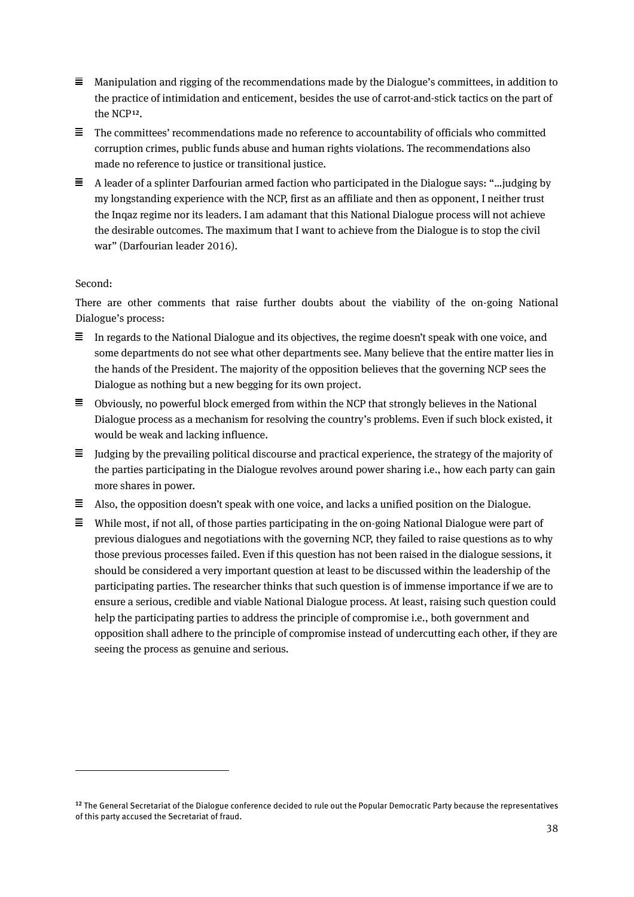- $\equiv$  Manipulation and rigging of the recommendations made by the Dialogue's committees, in addition to the practice of intimidation and enticement, besides the use of carrot-and-stick tactics on the part of the NCP**[12](#page-35-0)**.
- $\equiv$  The committees' recommendations made no reference to accountability of officials who committed corruption crimes, public funds abuse and human rights violations. The recommendations also made no reference to justice or transitional justice.
- $\equiv$  A leader of a splinter Darfourian armed faction who participated in the Dialogue says: "... judging by my longstanding experience with the NCP, first as an affiliate and then as opponent, I neither trust the Inqaz regime nor its leaders. I am adamant that this National Dialogue process will not achieve the desirable outcomes. The maximum that I want to achieve from the Dialogue is to stop the civil war" (Darfourian leader 2016).

#### Second:

 $\overline{a}$ 

There are other comments that raise further doubts about the viability of the on-going National Dialogue's process:

- $\equiv$  In regards to the National Dialogue and its objectives, the regime doesn't speak with one voice, and some departments do not see what other departments see. Many believe that the entire matter lies in the hands of the President. The majority of the opposition believes that the governing NCP sees the Dialogue as nothing but a new begging for its own project.
- $\equiv$  Obviously, no powerful block emerged from within the NCP that strongly believes in the National Dialogue process as a mechanism for resolving the country's problems. Even if such block existed, it would be weak and lacking influence.
- $\equiv$  Judging by the prevailing political discourse and practical experience, the strategy of the majority of the parties participating in the Dialogue revolves around power sharing i.e., how each party can gain more shares in power.
- $\equiv$  Also, the opposition doesn't speak with one voice, and lacks a unified position on the Dialogue.
- $\equiv$  While most, if not all, of those parties participating in the on-going National Dialogue were part of previous dialogues and negotiations with the governing NCP, they failed to raise questions as to why those previous processes failed. Even if this question has not been raised in the dialogue sessions, it should be considered a very important question at least to be discussed within the leadership of the participating parties. The researcher thinks that such question is of immense importance if we are to ensure a serious, credible and viable National Dialogue process. At least, raising such question could help the participating parties to address the principle of compromise i.e., both government and opposition shall adhere to the principle of compromise instead of undercutting each other, if they are seeing the process as genuine and serious.

<span id="page-35-0"></span>**<sup>12</sup>** The General Secretariat of the Dialogue conference decided to rule out the Popular Democratic Party because the representatives of this party accused the Secretariat of fraud.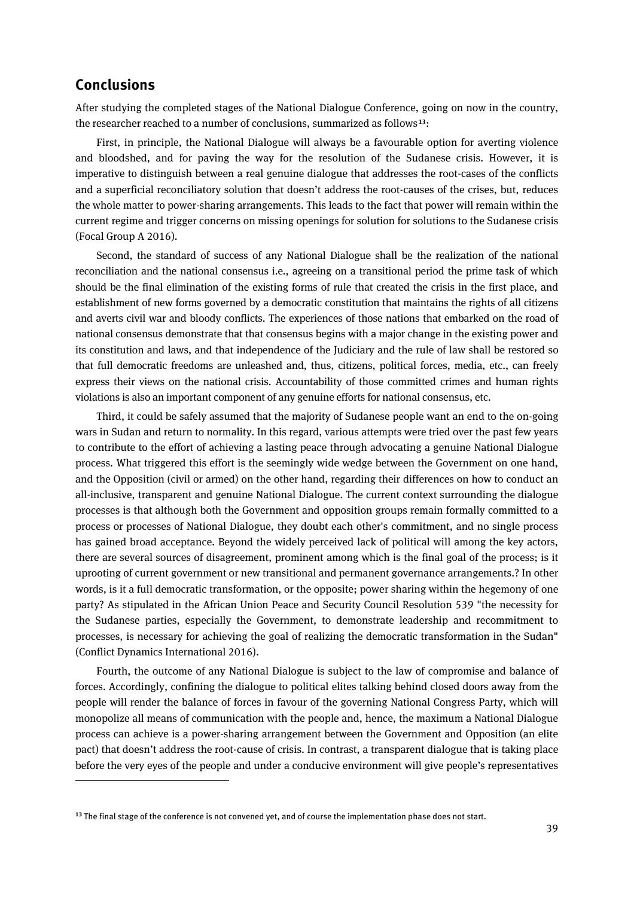#### **Conclusions**

 $\overline{a}$ 

After studying the completed stages of the National Dialogue Conference, going on now in the country, the researcher reached to a number of conclusions, summarized as follows**[13](#page-36-0)**:

First, in principle, the National Dialogue will always be a favourable option for averting violence and bloodshed, and for paving the way for the resolution of the Sudanese crisis. However, it is imperative to distinguish between a real genuine dialogue that addresses the root-cases of the conflicts and a superficial reconciliatory solution that doesn't address the root-causes of the crises, but, reduces the whole matter to power-sharing arrangements. This leads to the fact that power will remain within the current regime and trigger concerns on missing openings for solution for solutions to the Sudanese crisis (Focal Group A 2016).

Second, the standard of success of any National Dialogue shall be the realization of the national reconciliation and the national consensus i.e., agreeing on a transitional period the prime task of which should be the final elimination of the existing forms of rule that created the crisis in the first place, and establishment of new forms governed by a democratic constitution that maintains the rights of all citizens and averts civil war and bloody conflicts. The experiences of those nations that embarked on the road of national consensus demonstrate that that consensus begins with a major change in the existing power and its constitution and laws, and that independence of the Judiciary and the rule of law shall be restored so that full democratic freedoms are unleashed and, thus, citizens, political forces, media, etc., can freely express their views on the national crisis. Accountability of those committed crimes and human rights violations is also an important component of any genuine efforts for national consensus, etc.

Third, it could be safely assumed that the majority of Sudanese people want an end to the on-going wars in Sudan and return to normality. In this regard, various attempts were tried over the past few years to contribute to the effort of achieving a lasting peace through advocating a genuine National Dialogue process. What triggered this effort is the seemingly wide wedge between the Government on one hand, and the Opposition (civil or armed) on the other hand, regarding their differences on how to conduct an all-inclusive, transparent and genuine National Dialogue. The current context surrounding the dialogue processes is that although both the Government and opposition groups remain formally committed to a process or processes of National Dialogue, they doubt each other's commitment, and no single process has gained broad acceptance. Beyond the widely perceived lack of political will among the key actors, there are several sources of disagreement, prominent among which is the final goal of the process; is it uprooting of current government or new transitional and permanent governance arrangements.? In other words, is it a full democratic transformation, or the opposite; power sharing within the hegemony of one party? As stipulated in the African Union Peace and Security Council Resolution 539 "the necessity for the Sudanese parties, especially the Government, to demonstrate leadership and recommitment to processes, is necessary for achieving the goal of realizing the democratic transformation in the Sudan" (Conflict Dynamics International 2016).

Fourth, the outcome of any National Dialogue is subject to the law of compromise and balance of forces. Accordingly, confining the dialogue to political elites talking behind closed doors away from the people will render the balance of forces in favour of the governing National Congress Party, which will monopolize all means of communication with the people and, hence, the maximum a National Dialogue process can achieve is a power-sharing arrangement between the Government and Opposition (an elite pact) that doesn't address the root-cause of crisis. In contrast, a transparent dialogue that is taking place before the very eyes of the people and under a conducive environment will give people's representatives

<span id="page-36-0"></span>**<sup>13</sup>** The final stage of the conference is not convened yet, and of course the implementation phase does not start.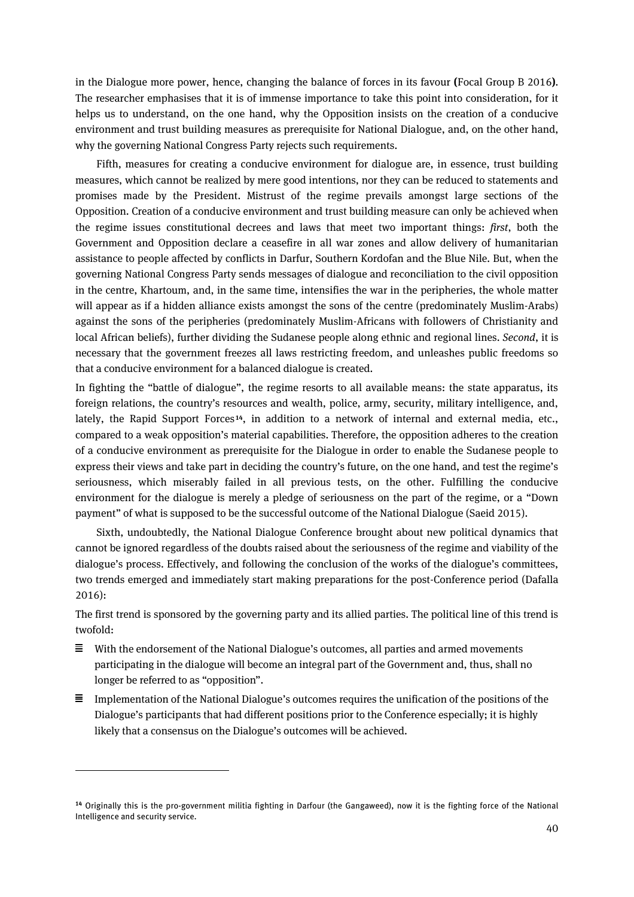in the Dialogue more power, hence, changing the balance of forces in its favour **(**Focal Group B 2016**)**. The researcher emphasises that it is of immense importance to take this point into consideration, for it helps us to understand, on the one hand, why the Opposition insists on the creation of a conducive environment and trust building measures as prerequisite for National Dialogue, and, on the other hand, why the governing National Congress Party rejects such requirements.

Fifth, measures for creating a conducive environment for dialogue are, in essence, trust building measures, which cannot be realized by mere good intentions, nor they can be reduced to statements and promises made by the President. Mistrust of the regime prevails amongst large sections of the Opposition. Creation of a conducive environment and trust building measure can only be achieved when the regime issues constitutional decrees and laws that meet two important things: *first*, both the Government and Opposition declare a ceasefire in all war zones and allow delivery of humanitarian assistance to people affected by conflicts in Darfur, Southern Kordofan and the Blue Nile. But, when the governing National Congress Party sends messages of dialogue and reconciliation to the civil opposition in the centre, Khartoum, and, in the same time, intensifies the war in the peripheries, the whole matter will appear as if a hidden alliance exists amongst the sons of the centre (predominately Muslim-Arabs) against the sons of the peripheries (predominately Muslim-Africans with followers of Christianity and local African beliefs), further dividing the Sudanese people along ethnic and regional lines. *Second*, it is necessary that the government freezes all laws restricting freedom, and unleashes public freedoms so that a conducive environment for a balanced dialogue is created.

In fighting the "battle of dialogue", the regime resorts to all available means: the state apparatus, its foreign relations, the country's resources and wealth, police, army, security, military intelligence, and, lately, the Rapid Support Forces**[14](#page-37-0)**, in addition to a network of internal and external media, etc., compared to a weak opposition's material capabilities. Therefore, the opposition adheres to the creation of a conducive environment as prerequisite for the Dialogue in order to enable the Sudanese people to express their views and take part in deciding the country's future, on the one hand, and test the regime's seriousness, which miserably failed in all previous tests, on the other. Fulfilling the conducive environment for the dialogue is merely a pledge of seriousness on the part of the regime, or a "Down payment" of what is supposed to be the successful outcome of the National Dialogue (Saeid 2015).

Sixth, undoubtedly, the National Dialogue Conference brought about new political dynamics that cannot be ignored regardless of the doubts raised about the seriousness of the regime and viability of the dialogue's process. Effectively, and following the conclusion of the works of the dialogue's committees, two trends emerged and immediately start making preparations for the post-Conference period (Dafalla 2016):

The first trend is sponsored by the governing party and its allied parties. The political line of this trend is twofold:

- $\equiv$  With the endorsement of the National Dialogue's outcomes, all parties and armed movements participating in the dialogue will become an integral part of the Government and, thus, shall no longer be referred to as "opposition".
- $\equiv$  Implementation of the National Dialogue's outcomes requires the unification of the positions of the Dialogue's participants that had different positions prior to the Conference especially; it is highly likely that a consensus on the Dialogue's outcomes will be achieved.

 $\overline{a}$ 

<span id="page-37-0"></span>**<sup>14</sup>** Originally this is the pro-government militia fighting in Darfour (the Gangaweed), now it is the fighting force of the National Intelligence and security service.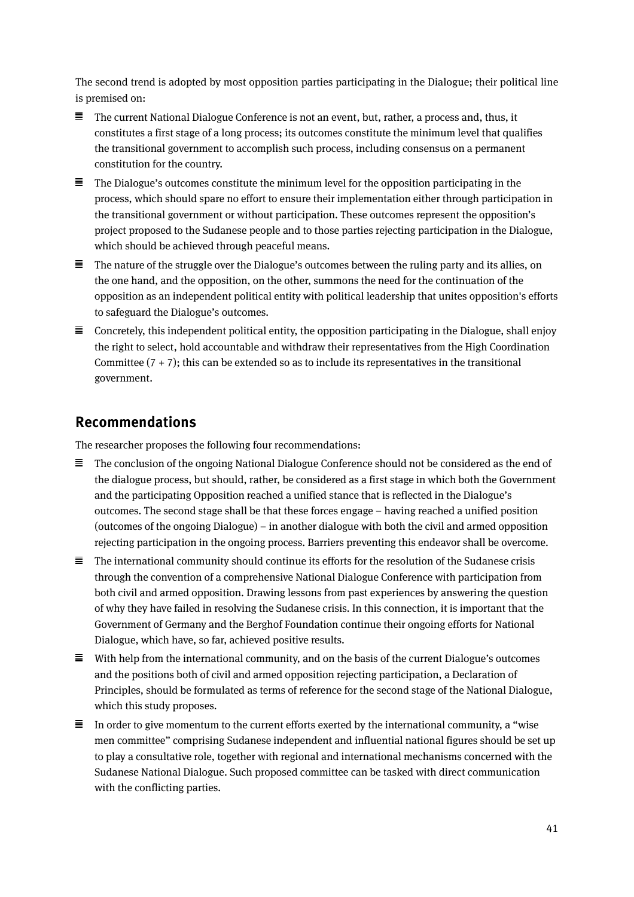The second trend is adopted by most opposition parties participating in the Dialogue; their political line is premised on:

- The current National Dialogue Conference is not an event, but, rather, a process and, thus, it constitutes a first stage of a long process; its outcomes constitute the minimum level that qualifies the transitional government to accomplish such process, including consensus on a permanent constitution for the country.
- $\equiv$  The Dialogue's outcomes constitute the minimum level for the opposition participating in the process, which should spare no effort to ensure their implementation either through participation in the transitional government or without participation. These outcomes represent the opposition's project proposed to the Sudanese people and to those parties rejecting participation in the Dialogue, which should be achieved through peaceful means.
- $\equiv$  The nature of the struggle over the Dialogue's outcomes between the ruling party and its allies, on the one hand, and the opposition, on the other, summons the need for the continuation of the opposition as an independent political entity with political leadership that unites opposition's efforts to safeguard the Dialogue's outcomes.
- $\equiv$  Concretely, this independent political entity, the opposition participating in the Dialogue, shall enjoy the right to select, hold accountable and withdraw their representatives from the High Coordination Committee  $(7 + 7)$ ; this can be extended so as to include its representatives in the transitional government.

#### **Recommendations**

The researcher proposes the following four recommendations:

- $\equiv$  The conclusion of the ongoing National Dialogue Conference should not be considered as the end of the dialogue process, but should, rather, be considered as a first stage in which both the Government and the participating Opposition reached a unified stance that is reflected in the Dialogue's outcomes. The second stage shall be that these forces engage – having reached a unified position (outcomes of the ongoing Dialogue) – in another dialogue with both the civil and armed opposition rejecting participation in the ongoing process. Barriers preventing this endeavor shall be overcome.
- $\equiv$  The international community should continue its efforts for the resolution of the Sudanese crisis through the convention of a comprehensive National Dialogue Conference with participation from both civil and armed opposition. Drawing lessons from past experiences by answering the question of why they have failed in resolving the Sudanese crisis. In this connection, it is important that the Government of Germany and the Berghof Foundation continue their ongoing efforts for National Dialogue, which have, so far, achieved positive results.
- $\equiv$  With help from the international community, and on the basis of the current Dialogue's outcomes and the positions both of civil and armed opposition rejecting participation, a Declaration of Principles, should be formulated as terms of reference for the second stage of the National Dialogue, which this study proposes.
- $\equiv$  In order to give momentum to the current efforts exerted by the international community, a "wise" men committee" comprising Sudanese independent and influential national figures should be set up to play a consultative role, together with regional and international mechanisms concerned with the Sudanese National Dialogue. Such proposed committee can be tasked with direct communication with the conflicting parties.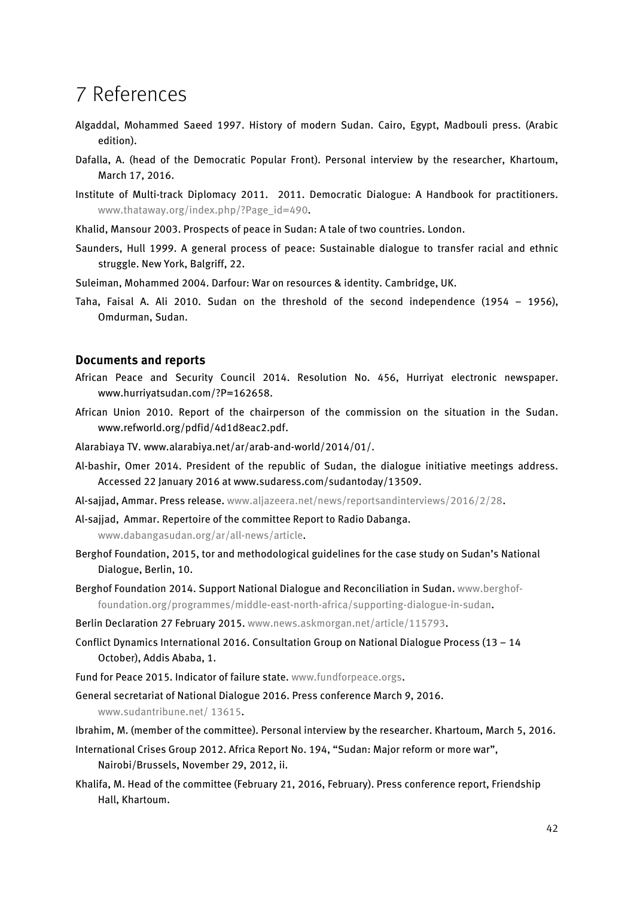# <span id="page-39-0"></span>7 References

- Algaddal, Mohammed Saeed 1997. History of modern Sudan. Cairo, Egypt, Madbouli press. (Arabic edition).
- Dafalla, A. (head of the Democratic Popular Front). Personal interview by the researcher, Khartoum, March 17, 2016.
- Institute of Multi-track Diplomacy 2011. 2011. Democratic Dialogue: A Handbook for practitioners. [www.thataway.org/index.php/?Page\\_id=490.](http://www.thataway.org/index.php/?Page_id=490)
- Khalid, Mansour 2003. Prospects of peace in Sudan: A tale of two countries. London.
- Saunders, Hull 1999. A general process of peace: Sustainable dialogue to transfer racial and ethnic struggle. New York, Balgriff, 22.
- Suleiman, Mohammed 2004. Darfour: War on resources & identity. Cambridge, UK.
- Taha, Faisal A. Ali 2010. Sudan on the threshold of the second independence (1954 1956), Omdurman, Sudan.

#### **Documents and reports**

- African Peace and Security Council 2014. Resolution No. 456, Hurriyat electronic newspaper. www.hurriyatsudan.com/?P=162658.
- African Union 2010. Report of the chairperson of the commission on the situation in the Sudan. www.refworld.org/pdfid/4d1d8eac2.pdf.
- Alarabiaya TV. www.alarabiya.net/ar/arab-and-world/2014/01/.
- Al-bashir, Omer 2014. President of the republic of Sudan, the dialogue initiative meetings address. Accessed 22 January 2016 a[t www.sudaress.com/sudantoday/13509.](http://www.sudaress.com/sudantoday/13509)
- Al-sajjad, Ammar. Press release. [www.aljazeera.net/news/reportsandinterviews/2016/2/28.](http://www.aljazeera.net/news/reportsandinterviews/2016/2/28)
- Al-sajjad, Ammar. Repertoire of the committee Report to Radio Dabanga. [www.dabangasudan.org/ar/all-news/article.](http://www.dabangasudan.org/ar/all-news/article)
- Berghof Foundation, 2015, tor and methodological guidelines for the case study on Sudan's National Dialogue, Berlin, 10.
- Berghof Foundation 2014. Support National Dialogue and Reconciliation in Sudan. www.berghoffoundation.org/programmes/middle-east-north-africa/supporting-dialogue-in-sudan.
- Berlin Declaration 27 February 2015[. www.news.askmorgan.net/article/115793.](http://www.news.askmorgan.net/article/115793)
- Conflict Dynamics International 2016. Consultation Group on National Dialogue Process (13 14 October), Addis Ababa, 1.
- Fund for Peace 2015. Indicator of failure state. [www.fundforpeace.orgs.](http://www.fundforpeace.orgs/)
- General secretariat of National Dialogue 2016. Press conference March 9, 2016.

www.sudantribune.net/ 13615.

- Ibrahim, M. (member of the committee). Personal interview by the researcher. Khartoum, March 5, 2016.
- International Crises Group 2012. Africa Report No. 194, "Sudan: Major reform or more war", Nairobi/Brussels, November 29, 2012, ii.
- Khalifa, M. Head of the committee (February 21, 2016, February). Press conference report, Friendship Hall, Khartoum.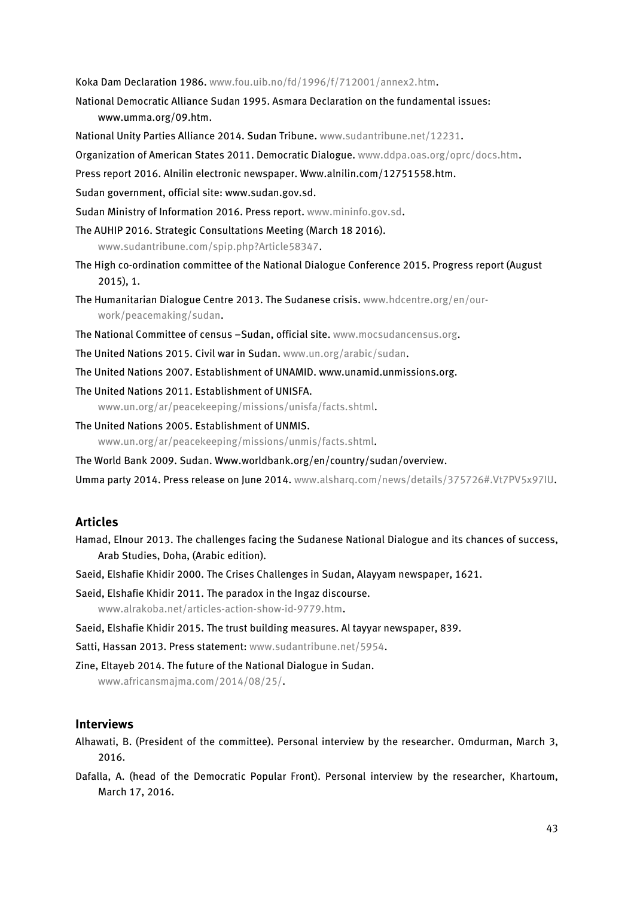Koka Dam Declaration 1986[. www.fou.uib.no/fd/1996/f/712001/annex2.htm.](http://www.fou.uib.no/fd/1996/f/712001/annex2.htm)

National Democratic Alliance Sudan 1995. Asmara Declaration on the fundamental issues: [www.umma.org/09.htm.](http://www.umma.org/09.htm)

National Unity Parties Alliance 2014. Sudan Tribune. [www.sudantribune.net/12231.](http://www.sudantribune.net/12231)

- Organization of American States 2011. Democratic Dialogue. [www.ddpa.oas.org/oprc/docs.htm.](http://www.ddpa.oas.org/oprc/docs.htm)
- Press report 2016. Alnilin electronic newspaper. [Www.alnilin.com/12751558.htm.](http://www.alnilin.com/12751558.htm)
- Sudan government, official site: www.sudan.gov.sd.
- Sudan Ministry of Information 2016. Press report. [www.mininfo.gov.sd.](http://www.mininfo.gov.sd/)
- The AUHIP 2016. Strategic Consultations Meeting (March 18 2016).

www.sudantribune.com/spip.php?Article58347.

- The High co-ordination committee of the National Dialogue Conference 2015. Progress report (August 2015), 1.
- The Humanitarian Dialogue Centre 2013. The Sudanese crisis. [www.hdcentre.org/en/our](http://www.hdcentre.org/en/our-work/peacemaking/sudan)[work/peacemaking/sudan.](http://www.hdcentre.org/en/our-work/peacemaking/sudan)
- The National Committee of census –Sudan, official site[. www.mocsudancensus.org.](http://www.mocsudancensus.org/)
- The United Nations 2015. Civil war in Sudan. [www.un.org/arabic/sudan.](http://www.un.org/arabic/sudan)
- The United Nations 2007. Establishment of UNAMID. www.unamid.unmissions.org.

The United Nations 2011. Establishment of UNISFA. [www.un.org/ar/peacekeeping/missions/unisfa/facts.shtml.](http://www.un.org/ar/peacekeeping/missions/unisfa/facts.shtml)

- The United Nations 2005. Establishment of UNMIS. [www.un.org/ar/peacekeeping/missions/unmis/facts.shtml.](http://www.un.org/ar/peacekeeping/missions/unmis/facts.shtml)
- The World Bank 2009. Sudan. Www.worldbank.org/en/country/sudan/overview.

Umma party 2014. Press release on June 2014. [www.alsharq.com/news/details/375726#.Vt7PV5x97IU.](http://www.alsharq.com/news/details/375726#.Vt7PV5x97IU)

#### **Articles**

- Hamad, Elnour 2013. The challenges facing the Sudanese National Dialogue and its chances of success, Arab Studies, Doha, (Arabic edition).
- Saeid, Elshafie Khidir 2000. The Crises Challenges in Sudan, Alayyam newspaper, 1621.

Saeid, Elshafie Khidir 2011. The paradox in the Ingaz discourse.

[www.alrakoba.net/articles-action-show-id-9779.htm.](http://www.alrakoba.net/articles-action-show-id-9779.htm)

Saeid, Elshafie Khidir 2015. The trust building measures. Al tayyar newspaper, 839.

Satti, Hassan 2013. Press statement: [www.sudantribune.net/5954.](http://www.sudantribune.net/5954)

Zine, Eltayeb 2014. The future of the National Dialogue in Sudan.

[www.africansmajma.com/2014/08/25/.](http://www.africansmajma.com/2014/08/25/)

#### **Interviews**

- Alhawati, B. (President of the committee). Personal interview by the researcher. Omdurman, March 3, 2016.
- Dafalla, A. (head of the Democratic Popular Front). Personal interview by the researcher, Khartoum, March 17, 2016.